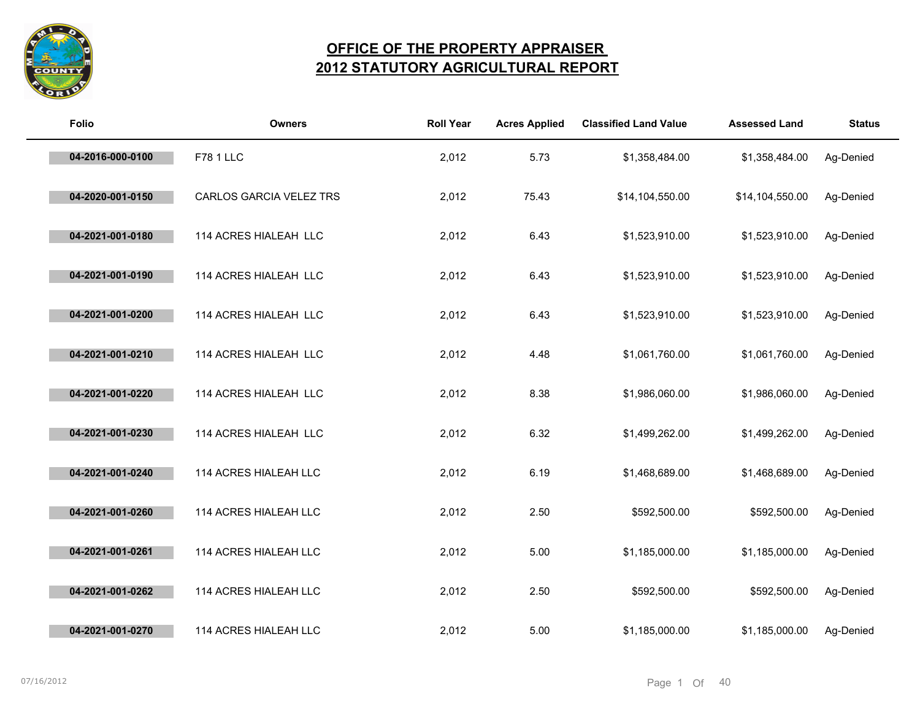

## **OFFICE OF THE PROPERTY APPRAISER 2012 STATUTORY AGRICULTURAL REPORT**

| <b>Folio</b>     | <b>Owners</b>           | <b>Roll Year</b> | <b>Acres Applied</b> | <b>Classified Land Value</b> | <b>Assessed Land</b> | <b>Status</b> |
|------------------|-------------------------|------------------|----------------------|------------------------------|----------------------|---------------|
| 04-2016-000-0100 | <b>F78 1 LLC</b>        | 2,012            | 5.73                 | \$1,358,484.00               | \$1,358,484.00       | Ag-Denied     |
| 04-2020-001-0150 | CARLOS GARCIA VELEZ TRS | 2,012            | 75.43                | \$14,104,550.00              | \$14,104,550.00      | Ag-Denied     |
| 04-2021-001-0180 | 114 ACRES HIALEAH LLC   | 2,012            | 6.43                 | \$1,523,910.00               | \$1,523,910.00       | Ag-Denied     |
| 04-2021-001-0190 | 114 ACRES HIALEAH LLC   | 2,012            | 6.43                 | \$1,523,910.00               | \$1,523,910.00       | Ag-Denied     |
| 04-2021-001-0200 | 114 ACRES HIALEAH LLC   | 2,012            | 6.43                 | \$1,523,910.00               | \$1,523,910.00       | Ag-Denied     |
| 04-2021-001-0210 | 114 ACRES HIALEAH LLC   | 2,012            | 4.48                 | \$1,061,760.00               | \$1,061,760.00       | Ag-Denied     |
| 04-2021-001-0220 | 114 ACRES HIALEAH LLC   | 2,012            | 8.38                 | \$1,986,060.00               | \$1,986,060.00       | Ag-Denied     |
| 04-2021-001-0230 | 114 ACRES HIALEAH LLC   | 2,012            | 6.32                 | \$1,499,262.00               | \$1,499,262.00       | Ag-Denied     |
| 04-2021-001-0240 | 114 ACRES HIALEAH LLC   | 2,012            | 6.19                 | \$1,468,689.00               | \$1,468,689.00       | Ag-Denied     |
| 04-2021-001-0260 | 114 ACRES HIALEAH LLC   | 2,012            | 2.50                 | \$592,500.00                 | \$592,500.00         | Ag-Denied     |
| 04-2021-001-0261 | 114 ACRES HIALEAH LLC   | 2,012            | 5.00                 | \$1,185,000.00               | \$1,185,000.00       | Ag-Denied     |
| 04-2021-001-0262 | 114 ACRES HIALEAH LLC   | 2,012            | 2.50                 | \$592,500.00                 | \$592,500.00         | Ag-Denied     |
| 04-2021-001-0270 | 114 ACRES HIALEAH LLC   | 2,012            | 5.00                 | \$1,185,000.00               | \$1,185,000.00       | Ag-Denied     |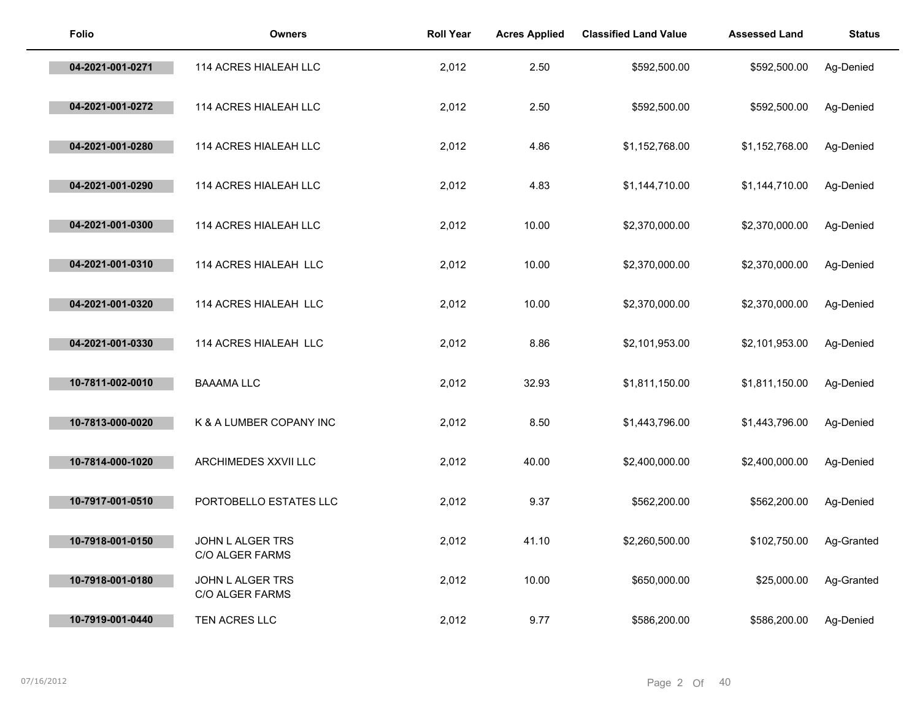| <b>Folio</b>     | <b>Owners</b>                       | <b>Roll Year</b> | <b>Acres Applied</b> | <b>Classified Land Value</b> | <b>Assessed Land</b> | <b>Status</b> |
|------------------|-------------------------------------|------------------|----------------------|------------------------------|----------------------|---------------|
| 04-2021-001-0271 | 114 ACRES HIALEAH LLC               | 2,012            | 2.50                 | \$592,500.00                 | \$592,500.00         | Ag-Denied     |
| 04-2021-001-0272 | 114 ACRES HIALEAH LLC               | 2,012            | 2.50                 | \$592,500.00                 | \$592,500.00         | Ag-Denied     |
| 04-2021-001-0280 | 114 ACRES HIALEAH LLC               | 2,012            | 4.86                 | \$1,152,768.00               | \$1,152,768.00       | Ag-Denied     |
| 04-2021-001-0290 | 114 ACRES HIALEAH LLC               | 2,012            | 4.83                 | \$1,144,710.00               | \$1,144,710.00       | Ag-Denied     |
| 04-2021-001-0300 | 114 ACRES HIALEAH LLC               | 2,012            | 10.00                | \$2,370,000.00               | \$2,370,000.00       | Ag-Denied     |
| 04-2021-001-0310 | 114 ACRES HIALEAH LLC               | 2,012            | 10.00                | \$2,370,000.00               | \$2,370,000.00       | Ag-Denied     |
| 04-2021-001-0320 | 114 ACRES HIALEAH LLC               | 2,012            | 10.00                | \$2,370,000.00               | \$2,370,000.00       | Ag-Denied     |
| 04-2021-001-0330 | 114 ACRES HIALEAH LLC               | 2,012            | 8.86                 | \$2,101,953.00               | \$2,101,953.00       | Ag-Denied     |
| 10-7811-002-0010 | <b>BAAAMA LLC</b>                   | 2,012            | 32.93                | \$1,811,150.00               | \$1,811,150.00       | Ag-Denied     |
| 10-7813-000-0020 | K & A LUMBER COPANY INC             | 2,012            | 8.50                 | \$1,443,796.00               | \$1,443,796.00       | Ag-Denied     |
| 10-7814-000-1020 | ARCHIMEDES XXVII LLC                | 2,012            | 40.00                | \$2,400,000.00               | \$2,400,000.00       | Ag-Denied     |
| 10-7917-001-0510 | PORTOBELLO ESTATES LLC              | 2,012            | 9.37                 | \$562,200.00                 | \$562,200.00         | Ag-Denied     |
| 10-7918-001-0150 | JOHN L ALGER TRS<br>C/O ALGER FARMS | 2,012            | 41.10                | \$2,260,500.00               | \$102,750.00         | Ag-Granted    |
| 10-7918-001-0180 | JOHN L ALGER TRS<br>C/O ALGER FARMS | 2,012            | 10.00                | \$650,000.00                 | \$25,000.00          | Ag-Granted    |
| 10-7919-001-0440 | <b>TEN ACRES LLC</b>                | 2,012            | 9.77                 | \$586,200.00                 | \$586,200.00         | Ag-Denied     |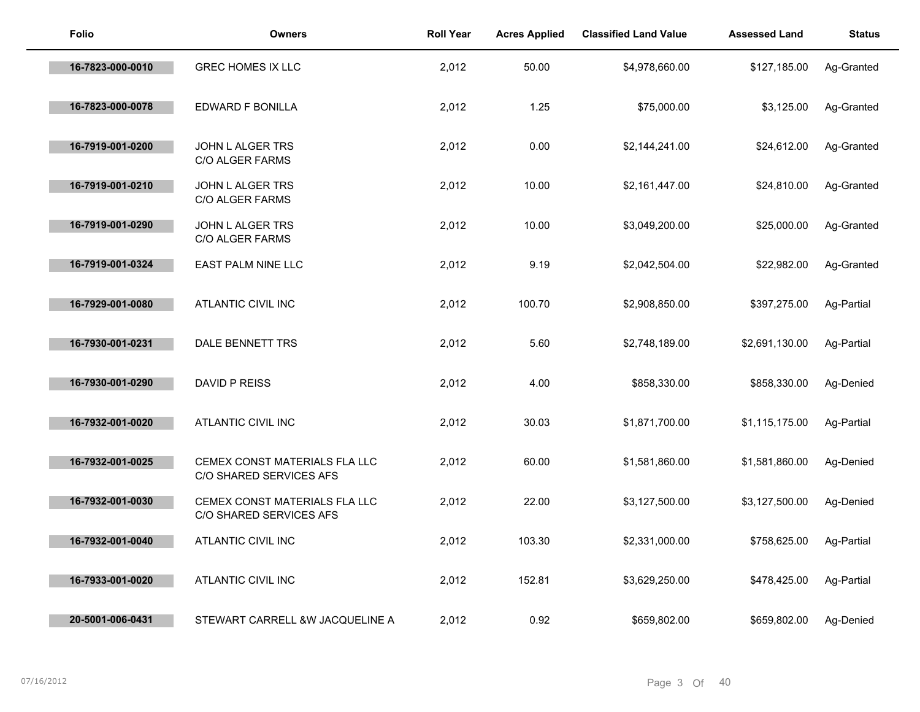| <b>Folio</b>     | <b>Owners</b>                                            | <b>Roll Year</b> | <b>Acres Applied</b> | <b>Classified Land Value</b> | <b>Assessed Land</b> | <b>Status</b> |
|------------------|----------------------------------------------------------|------------------|----------------------|------------------------------|----------------------|---------------|
| 16-7823-000-0010 | <b>GREC HOMES IX LLC</b>                                 | 2,012            | 50.00                | \$4,978,660.00               | \$127,185.00         | Ag-Granted    |
| 16-7823-000-0078 | EDWARD F BONILLA                                         | 2,012            | 1.25                 | \$75,000.00                  | \$3,125.00           | Ag-Granted    |
| 16-7919-001-0200 | JOHN L ALGER TRS<br><b>C/O ALGER FARMS</b>               | 2,012            | 0.00                 | \$2,144,241.00               | \$24,612.00          | Ag-Granted    |
| 16-7919-001-0210 | JOHN L ALGER TRS<br>C/O ALGER FARMS                      | 2,012            | 10.00                | \$2,161,447.00               | \$24,810.00          | Ag-Granted    |
| 16-7919-001-0290 | JOHN L ALGER TRS<br>C/O ALGER FARMS                      | 2,012            | 10.00                | \$3,049,200.00               | \$25,000.00          | Ag-Granted    |
| 16-7919-001-0324 | <b>EAST PALM NINE LLC</b>                                | 2,012            | 9.19                 | \$2,042,504.00               | \$22,982.00          | Ag-Granted    |
| 16-7929-001-0080 | <b>ATLANTIC CIVIL INC</b>                                | 2,012            | 100.70               | \$2,908,850.00               | \$397,275.00         | Ag-Partial    |
| 16-7930-001-0231 | DALE BENNETT TRS                                         | 2,012            | 5.60                 | \$2,748,189.00               | \$2,691,130.00       | Ag-Partial    |
| 16-7930-001-0290 | DAVID P REISS                                            | 2,012            | 4.00                 | \$858,330.00                 | \$858,330.00         | Ag-Denied     |
| 16-7932-001-0020 | <b>ATLANTIC CIVIL INC</b>                                | 2,012            | 30.03                | \$1,871,700.00               | \$1,115,175.00       | Ag-Partial    |
| 16-7932-001-0025 | CEMEX CONST MATERIALS FLA LLC<br>C/O SHARED SERVICES AFS | 2,012            | 60.00                | \$1,581,860.00               | \$1,581,860.00       | Ag-Denied     |
| 16-7932-001-0030 | CEMEX CONST MATERIALS FLA LLC<br>C/O SHARED SERVICES AFS | 2,012            | 22.00                | \$3,127,500.00               | \$3,127,500.00       | Ag-Denied     |
| 16-7932-001-0040 | <b>ATLANTIC CIVIL INC</b>                                | 2,012            | 103.30               | \$2,331,000.00               | \$758,625.00         | Ag-Partial    |
| 16-7933-001-0020 | <b>ATLANTIC CIVIL INC</b>                                | 2,012            | 152.81               | \$3,629,250.00               | \$478,425.00         | Ag-Partial    |
| 20-5001-006-0431 | STEWART CARRELL &W JACQUELINE A                          | 2,012            | 0.92                 | \$659,802.00                 | \$659,802.00         | Ag-Denied     |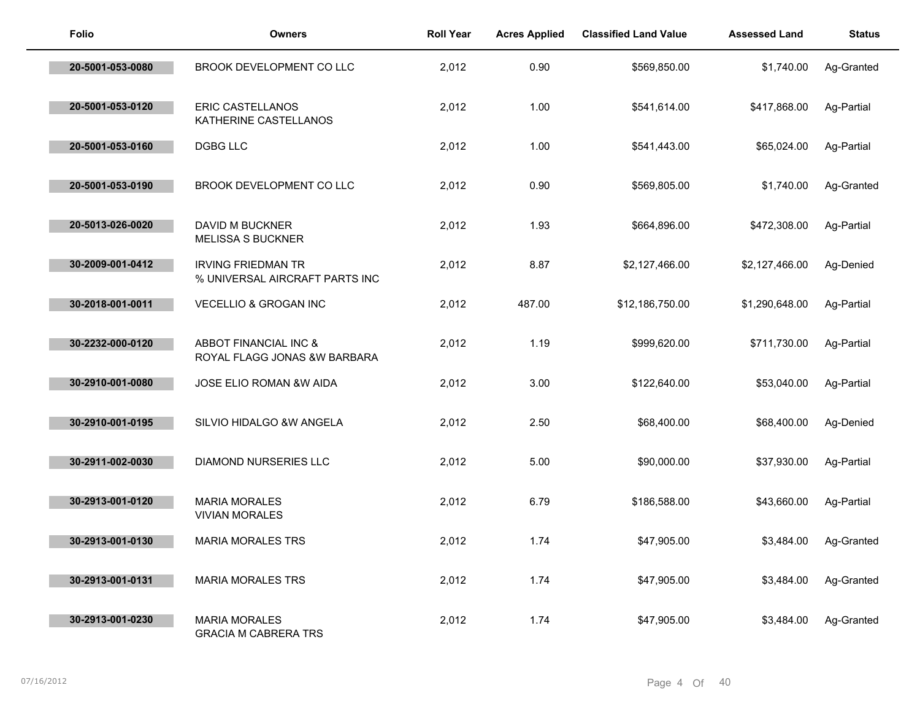| <b>Folio</b>     | <b>Owners</b>                                               | <b>Roll Year</b> | <b>Acres Applied</b> | <b>Classified Land Value</b> | <b>Assessed Land</b> | <b>Status</b> |
|------------------|-------------------------------------------------------------|------------------|----------------------|------------------------------|----------------------|---------------|
| 20-5001-053-0080 | BROOK DEVELOPMENT CO LLC                                    | 2,012            | 0.90                 | \$569,850.00                 | \$1,740.00           | Ag-Granted    |
| 20-5001-053-0120 | ERIC CASTELLANOS<br>KATHERINE CASTELLANOS                   | 2,012            | 1.00                 | \$541,614.00                 | \$417,868.00         | Ag-Partial    |
| 20-5001-053-0160 | <b>DGBG LLC</b>                                             | 2,012            | 1.00                 | \$541,443.00                 | \$65,024.00          | Ag-Partial    |
| 20-5001-053-0190 | BROOK DEVELOPMENT CO LLC                                    | 2,012            | 0.90                 | \$569,805.00                 | \$1,740.00           | Ag-Granted    |
| 20-5013-026-0020 | DAVID M BUCKNER<br><b>MELISSA S BUCKNER</b>                 | 2,012            | 1.93                 | \$664,896.00                 | \$472,308.00         | Ag-Partial    |
| 30-2009-001-0412 | <b>IRVING FRIEDMAN TR</b><br>% UNIVERSAL AIRCRAFT PARTS INC | 2,012            | 8.87                 | \$2,127,466.00               | \$2,127,466.00       | Ag-Denied     |
| 30-2018-001-0011 | <b>VECELLIO &amp; GROGAN INC</b>                            | 2,012            | 487.00               | \$12,186,750.00              | \$1,290,648.00       | Ag-Partial    |
| 30-2232-000-0120 | ABBOT FINANCIAL INC &<br>ROYAL FLAGG JONAS &W BARBARA       | 2,012            | 1.19                 | \$999,620.00                 | \$711,730.00         | Ag-Partial    |
| 30-2910-001-0080 | JOSE ELIO ROMAN &W AIDA                                     | 2,012            | 3.00                 | \$122,640.00                 | \$53,040.00          | Ag-Partial    |
| 30-2910-001-0195 | SILVIO HIDALGO &W ANGELA                                    | 2,012            | 2.50                 | \$68,400.00                  | \$68,400.00          | Ag-Denied     |
| 30-2911-002-0030 | <b>DIAMOND NURSERIES LLC</b>                                | 2,012            | 5.00                 | \$90,000.00                  | \$37,930.00          | Ag-Partial    |
| 30-2913-001-0120 | <b>MARIA MORALES</b><br><b>VIVIAN MORALES</b>               | 2,012            | 6.79                 | \$186,588.00                 | \$43,660.00          | Ag-Partial    |
| 30-2913-001-0130 | <b>MARIA MORALES TRS</b>                                    | 2,012            | 1.74                 | \$47,905.00                  | \$3,484.00           | Ag-Granted    |
| 30-2913-001-0131 | <b>MARIA MORALES TRS</b>                                    | 2,012            | 1.74                 | \$47,905.00                  | \$3,484.00           | Ag-Granted    |
| 30-2913-001-0230 | <b>MARIA MORALES</b><br><b>GRACIA M CABRERA TRS</b>         | 2,012            | 1.74                 | \$47,905.00                  | \$3,484.00           | Ag-Granted    |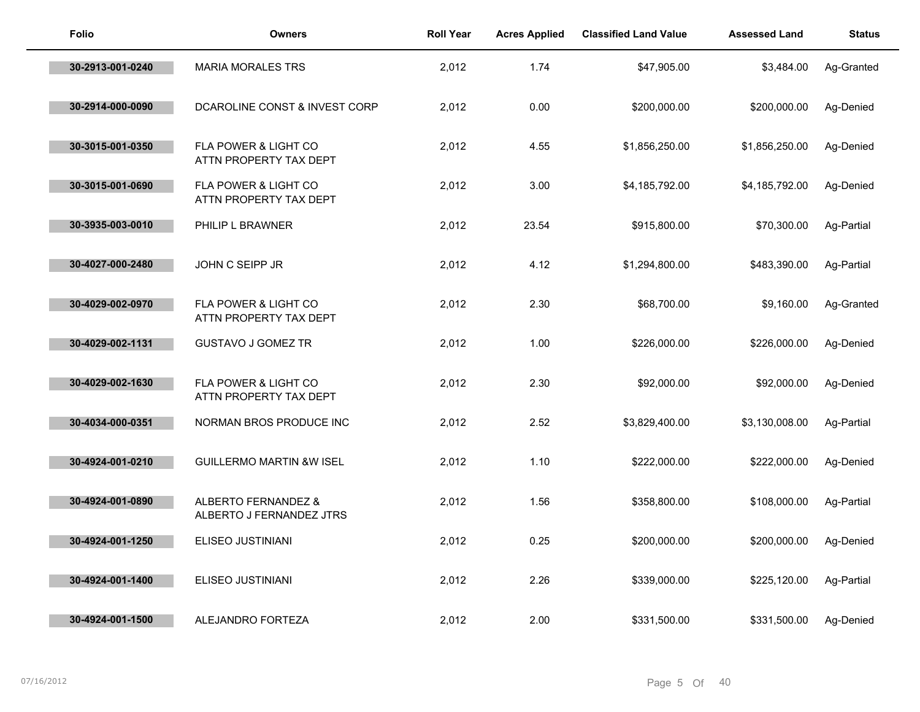| <b>Folio</b>     | <b>Owners</b>                                   | <b>Roll Year</b> | <b>Acres Applied</b> | <b>Classified Land Value</b> | <b>Assessed Land</b> | <b>Status</b> |
|------------------|-------------------------------------------------|------------------|----------------------|------------------------------|----------------------|---------------|
| 30-2913-001-0240 | <b>MARIA MORALES TRS</b>                        | 2,012            | 1.74                 | \$47,905.00                  | \$3,484.00           | Ag-Granted    |
| 30-2914-000-0090 | DCAROLINE CONST & INVEST CORP                   | 2,012            | 0.00                 | \$200,000.00                 | \$200,000.00         | Ag-Denied     |
| 30-3015-001-0350 | FLA POWER & LIGHT CO<br>ATTN PROPERTY TAX DEPT  | 2,012            | 4.55                 | \$1,856,250.00               | \$1,856,250.00       | Ag-Denied     |
| 30-3015-001-0690 | FLA POWER & LIGHT CO<br>ATTN PROPERTY TAX DEPT  | 2,012            | 3.00                 | \$4,185,792.00               | \$4,185,792.00       | Ag-Denied     |
| 30-3935-003-0010 | PHILIP L BRAWNER                                | 2,012            | 23.54                | \$915,800.00                 | \$70,300.00          | Ag-Partial    |
| 30-4027-000-2480 | JOHN C SEIPP JR                                 | 2,012            | 4.12                 | \$1,294,800.00               | \$483,390.00         | Ag-Partial    |
| 30-4029-002-0970 | FLA POWER & LIGHT CO<br>ATTN PROPERTY TAX DEPT  | 2,012            | 2.30                 | \$68,700.00                  | \$9,160.00           | Ag-Granted    |
| 30-4029-002-1131 | <b>GUSTAVO J GOMEZ TR</b>                       | 2,012            | 1.00                 | \$226,000.00                 | \$226,000.00         | Ag-Denied     |
| 30-4029-002-1630 | FLA POWER & LIGHT CO<br>ATTN PROPERTY TAX DEPT  | 2,012            | 2.30                 | \$92,000.00                  | \$92,000.00          | Ag-Denied     |
| 30-4034-000-0351 | NORMAN BROS PRODUCE INC                         | 2,012            | 2.52                 | \$3,829,400.00               | \$3,130,008.00       | Ag-Partial    |
| 30-4924-001-0210 | <b>GUILLERMO MARTIN &amp;W ISEL</b>             | 2,012            | 1.10                 | \$222,000.00                 | \$222,000.00         | Ag-Denied     |
| 30-4924-001-0890 | ALBERTO FERNANDEZ &<br>ALBERTO J FERNANDEZ JTRS | 2,012            | 1.56                 | \$358,800.00                 | \$108,000.00         | Ag-Partial    |
| 30-4924-001-1250 | ELISEO JUSTINIANI                               | 2,012            | 0.25                 | \$200,000.00                 | \$200,000.00         | Ag-Denied     |
| 30-4924-001-1400 | ELISEO JUSTINIANI                               | 2,012            | 2.26                 | \$339,000.00                 | \$225,120.00         | Ag-Partial    |
| 30-4924-001-1500 | ALEJANDRO FORTEZA                               | 2,012            | 2.00                 | \$331,500.00                 | \$331,500.00         | Ag-Denied     |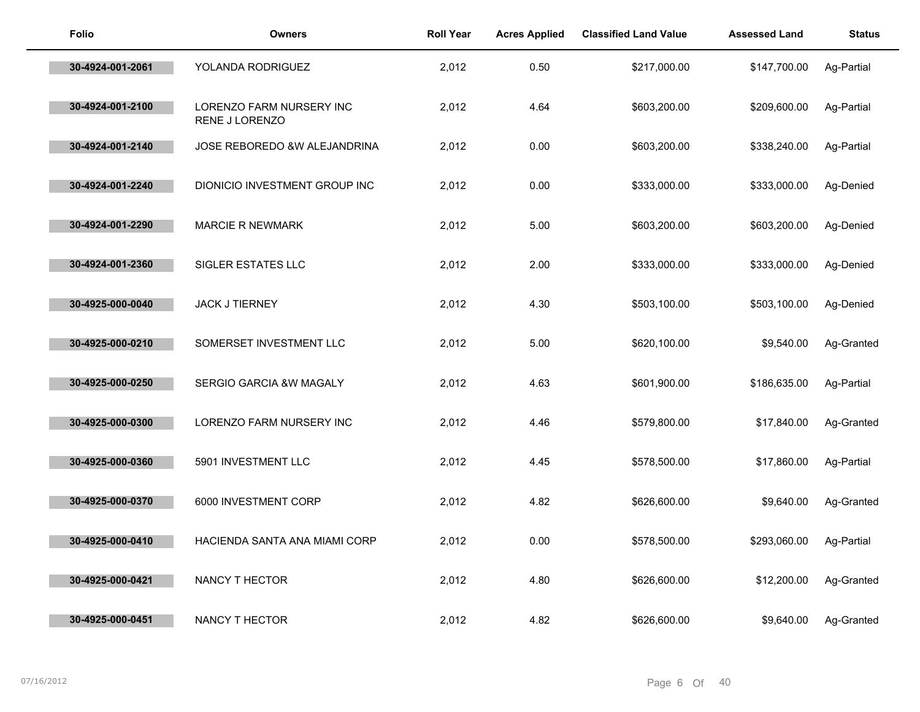| <b>Folio</b>     | <b>Owners</b>                                     | <b>Roll Year</b> | <b>Acres Applied</b> | <b>Classified Land Value</b> | <b>Assessed Land</b> | <b>Status</b> |
|------------------|---------------------------------------------------|------------------|----------------------|------------------------------|----------------------|---------------|
| 30-4924-001-2061 | YOLANDA RODRIGUEZ                                 | 2,012            | 0.50                 | \$217,000.00                 | \$147,700.00         | Ag-Partial    |
| 30-4924-001-2100 | <b>LORENZO FARM NURSERY INC</b><br>RENE J LORENZO | 2,012            | 4.64                 | \$603,200.00                 | \$209,600.00         | Ag-Partial    |
| 30-4924-001-2140 | JOSE REBOREDO &W ALEJANDRINA                      | 2,012            | 0.00                 | \$603,200.00                 | \$338,240.00         | Ag-Partial    |
| 30-4924-001-2240 | DIONICIO INVESTMENT GROUP INC                     | 2,012            | 0.00                 | \$333,000.00                 | \$333,000.00         | Ag-Denied     |
| 30-4924-001-2290 | <b>MARCIE R NEWMARK</b>                           | 2,012            | 5.00                 | \$603,200.00                 | \$603,200.00         | Ag-Denied     |
| 30-4924-001-2360 | SIGLER ESTATES LLC                                | 2,012            | 2.00                 | \$333,000.00                 | \$333,000.00         | Ag-Denied     |
| 30-4925-000-0040 | <b>JACK J TIERNEY</b>                             | 2,012            | 4.30                 | \$503,100.00                 | \$503,100.00         | Ag-Denied     |
| 30-4925-000-0210 | SOMERSET INVESTMENT LLC                           | 2,012            | 5.00                 | \$620,100.00                 | \$9,540.00           | Ag-Granted    |
| 30-4925-000-0250 | SERGIO GARCIA &W MAGALY                           | 2,012            | 4.63                 | \$601,900.00                 | \$186,635.00         | Ag-Partial    |
| 30-4925-000-0300 | LORENZO FARM NURSERY INC                          | 2,012            | 4.46                 | \$579,800.00                 | \$17,840.00          | Ag-Granted    |
| 30-4925-000-0360 | 5901 INVESTMENT LLC                               | 2,012            | 4.45                 | \$578,500.00                 | \$17,860.00          | Ag-Partial    |
| 30-4925-000-0370 | 6000 INVESTMENT CORP                              | 2,012            | 4.82                 | \$626,600.00                 | \$9,640.00           | Ag-Granted    |
| 30-4925-000-0410 | HACIENDA SANTA ANA MIAMI CORP                     | 2,012            | 0.00                 | \$578,500.00                 | \$293,060.00         | Ag-Partial    |
| 30-4925-000-0421 | NANCY T HECTOR                                    | 2,012            | 4.80                 | \$626,600.00                 | \$12,200.00          | Ag-Granted    |
| 30-4925-000-0451 | NANCY T HECTOR                                    | 2,012            | 4.82                 | \$626,600.00                 | \$9,640.00           | Ag-Granted    |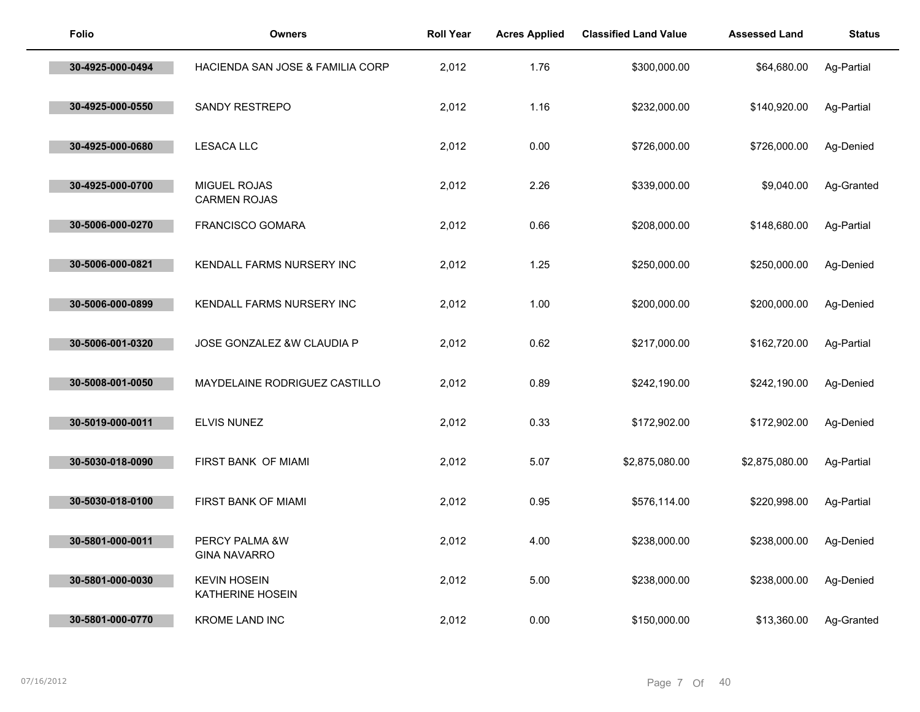| Folio            | <b>Owners</b>                           | <b>Roll Year</b> | <b>Acres Applied</b> | <b>Classified Land Value</b> | <b>Assessed Land</b> | <b>Status</b> |
|------------------|-----------------------------------------|------------------|----------------------|------------------------------|----------------------|---------------|
| 30-4925-000-0494 | HACIENDA SAN JOSE & FAMILIA CORP        | 2,012            | 1.76                 | \$300,000.00                 | \$64,680.00          | Ag-Partial    |
| 30-4925-000-0550 | SANDY RESTREPO                          | 2,012            | 1.16                 | \$232,000.00                 | \$140,920.00         | Ag-Partial    |
| 30-4925-000-0680 | <b>LESACA LLC</b>                       | 2,012            | 0.00                 | \$726,000.00                 | \$726,000.00         | Ag-Denied     |
| 30-4925-000-0700 | MIGUEL ROJAS<br><b>CARMEN ROJAS</b>     | 2,012            | 2.26                 | \$339,000.00                 | \$9,040.00           | Ag-Granted    |
| 30-5006-000-0270 | <b>FRANCISCO GOMARA</b>                 | 2,012            | 0.66                 | \$208,000.00                 | \$148,680.00         | Ag-Partial    |
| 30-5006-000-0821 | KENDALL FARMS NURSERY INC               | 2,012            | 1.25                 | \$250,000.00                 | \$250,000.00         | Ag-Denied     |
| 30-5006-000-0899 | KENDALL FARMS NURSERY INC               | 2,012            | 1.00                 | \$200,000.00                 | \$200,000.00         | Ag-Denied     |
| 30-5006-001-0320 | JOSE GONZALEZ &W CLAUDIA P              | 2,012            | 0.62                 | \$217,000.00                 | \$162,720.00         | Ag-Partial    |
| 30-5008-001-0050 | MAYDELAINE RODRIGUEZ CASTILLO           | 2,012            | 0.89                 | \$242,190.00                 | \$242,190.00         | Ag-Denied     |
| 30-5019-000-0011 | <b>ELVIS NUNEZ</b>                      | 2,012            | 0.33                 | \$172,902.00                 | \$172,902.00         | Ag-Denied     |
| 30-5030-018-0090 | FIRST BANK OF MIAMI                     | 2,012            | 5.07                 | \$2,875,080.00               | \$2,875,080.00       | Ag-Partial    |
| 30-5030-018-0100 | FIRST BANK OF MIAMI                     | 2,012            | 0.95                 | \$576,114.00                 | \$220,998.00         | Ag-Partial    |
| 30-5801-000-0011 | PERCY PALMA &W<br><b>GINA NAVARRO</b>   | 2,012            | 4.00                 | \$238,000.00                 | \$238,000.00         | Ag-Denied     |
| 30-5801-000-0030 | <b>KEVIN HOSEIN</b><br>KATHERINE HOSEIN | 2,012            | 5.00                 | \$238,000.00                 | \$238,000.00         | Ag-Denied     |
| 30-5801-000-0770 | <b>KROME LAND INC</b>                   | 2,012            | 0.00                 | \$150,000.00                 | \$13,360.00          | Ag-Granted    |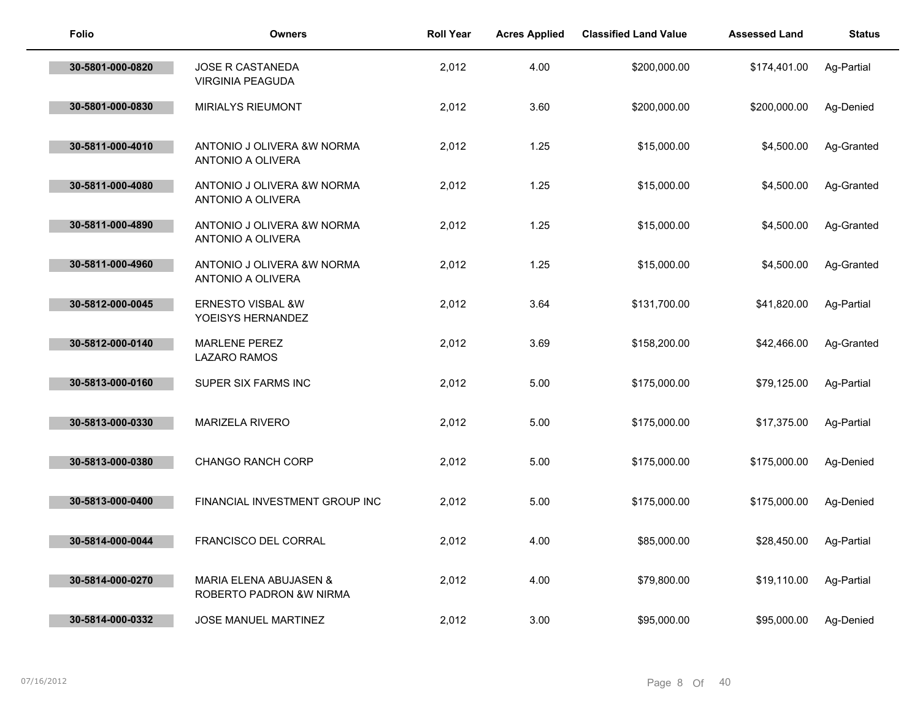| Folio            | <b>Owners</b>                                     | <b>Roll Year</b> | <b>Acres Applied</b> | <b>Classified Land Value</b> | <b>Assessed Land</b> | <b>Status</b> |
|------------------|---------------------------------------------------|------------------|----------------------|------------------------------|----------------------|---------------|
| 30-5801-000-0820 | JOSE R CASTANEDA<br><b>VIRGINIA PEAGUDA</b>       | 2,012            | 4.00                 | \$200,000.00                 | \$174,401.00         | Ag-Partial    |
| 30-5801-000-0830 | <b>MIRIALYS RIEUMONT</b>                          | 2,012            | 3.60                 | \$200,000.00                 | \$200,000.00         | Ag-Denied     |
| 30-5811-000-4010 | ANTONIO J OLIVERA &W NORMA<br>ANTONIO A OLIVERA   | 2,012            | 1.25                 | \$15,000.00                  | \$4,500.00           | Ag-Granted    |
| 30-5811-000-4080 | ANTONIO J OLIVERA &W NORMA<br>ANTONIO A OLIVERA   | 2,012            | 1.25                 | \$15,000.00                  | \$4,500.00           | Ag-Granted    |
| 30-5811-000-4890 | ANTONIO J OLIVERA &W NORMA<br>ANTONIO A OLIVERA   | 2,012            | 1.25                 | \$15,000.00                  | \$4,500.00           | Ag-Granted    |
| 30-5811-000-4960 | ANTONIO J OLIVERA &W NORMA<br>ANTONIO A OLIVERA   | 2,012            | 1.25                 | \$15,000.00                  | \$4,500.00           | Ag-Granted    |
| 30-5812-000-0045 | <b>ERNESTO VISBAL &amp;W</b><br>YOEISYS HERNANDEZ | 2,012            | 3.64                 | \$131,700.00                 | \$41,820.00          | Ag-Partial    |
| 30-5812-000-0140 | <b>MARLENE PEREZ</b><br>LAZARO RAMOS              | 2,012            | 3.69                 | \$158,200.00                 | \$42,466.00          | Ag-Granted    |
| 30-5813-000-0160 | SUPER SIX FARMS INC                               | 2,012            | 5.00                 | \$175,000.00                 | \$79,125.00          | Ag-Partial    |
| 30-5813-000-0330 | <b>MARIZELA RIVERO</b>                            | 2,012            | 5.00                 | \$175,000.00                 | \$17,375.00          | Ag-Partial    |
| 30-5813-000-0380 | CHANGO RANCH CORP                                 | 2,012            | 5.00                 | \$175,000.00                 | \$175,000.00         | Ag-Denied     |
| 30-5813-000-0400 | FINANCIAL INVESTMENT GROUP INC                    | 2,012            | 5.00                 | \$175,000.00                 | \$175,000.00         | Ag-Denied     |
| 30-5814-000-0044 | <b>FRANCISCO DEL CORRAL</b>                       | 2,012            | 4.00                 | \$85,000.00                  | \$28,450.00          | Ag-Partial    |
| 30-5814-000-0270 | MARIA ELENA ABUJASEN &<br>ROBERTO PADRON & WNIRMA | 2,012            | 4.00                 | \$79,800.00                  | \$19,110.00          | Ag-Partial    |
| 30-5814-000-0332 | JOSE MANUEL MARTINEZ                              | 2,012            | 3.00                 | \$95,000.00                  | \$95,000.00          | Ag-Denied     |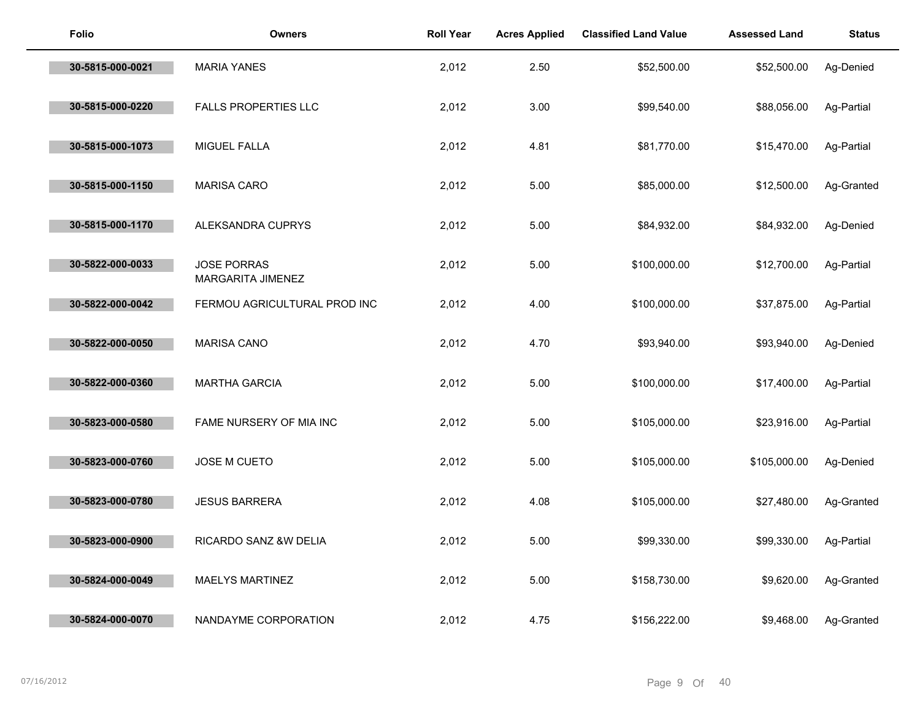| <b>Folio</b>     | <b>Owners</b>                           | <b>Roll Year</b> | <b>Acres Applied</b> | <b>Classified Land Value</b> | <b>Assessed Land</b> | <b>Status</b> |
|------------------|-----------------------------------------|------------------|----------------------|------------------------------|----------------------|---------------|
| 30-5815-000-0021 | <b>MARIA YANES</b>                      | 2,012            | 2.50                 | \$52,500.00                  | \$52,500.00          | Ag-Denied     |
| 30-5815-000-0220 | FALLS PROPERTIES LLC                    | 2,012            | 3.00                 | \$99,540.00                  | \$88,056.00          | Ag-Partial    |
| 30-5815-000-1073 | MIGUEL FALLA                            | 2,012            | 4.81                 | \$81,770.00                  | \$15,470.00          | Ag-Partial    |
| 30-5815-000-1150 | <b>MARISA CARO</b>                      | 2,012            | 5.00                 | \$85,000.00                  | \$12,500.00          | Ag-Granted    |
| 30-5815-000-1170 | ALEKSANDRA CUPRYS                       | 2,012            | 5.00                 | \$84,932.00                  | \$84,932.00          | Ag-Denied     |
| 30-5822-000-0033 | <b>JOSE PORRAS</b><br>MARGARITA JIMENEZ | 2,012            | 5.00                 | \$100,000.00                 | \$12,700.00          | Ag-Partial    |
| 30-5822-000-0042 | FERMOU AGRICULTURAL PROD INC            | 2,012            | 4.00                 | \$100,000.00                 | \$37,875.00          | Ag-Partial    |
| 30-5822-000-0050 | <b>MARISA CANO</b>                      | 2,012            | 4.70                 | \$93,940.00                  | \$93,940.00          | Ag-Denied     |
| 30-5822-000-0360 | <b>MARTHA GARCIA</b>                    | 2,012            | 5.00                 | \$100,000.00                 | \$17,400.00          | Ag-Partial    |
| 30-5823-000-0580 | FAME NURSERY OF MIA INC                 | 2,012            | 5.00                 | \$105,000.00                 | \$23,916.00          | Ag-Partial    |
| 30-5823-000-0760 | JOSE M CUETO                            | 2,012            | 5.00                 | \$105,000.00                 | \$105,000.00         | Ag-Denied     |
| 30-5823-000-0780 | <b>JESUS BARRERA</b>                    | 2,012            | 4.08                 | \$105,000.00                 | \$27,480.00          | Ag-Granted    |
| 30-5823-000-0900 | RICARDO SANZ &W DELIA                   | 2,012            | 5.00                 | \$99,330.00                  | \$99,330.00          | Ag-Partial    |
| 30-5824-000-0049 | MAELYS MARTINEZ                         | 2,012            | 5.00                 | \$158,730.00                 | \$9,620.00           | Ag-Granted    |
| 30-5824-000-0070 | NANDAYME CORPORATION                    | 2,012            | 4.75                 | \$156,222.00                 | \$9,468.00           | Ag-Granted    |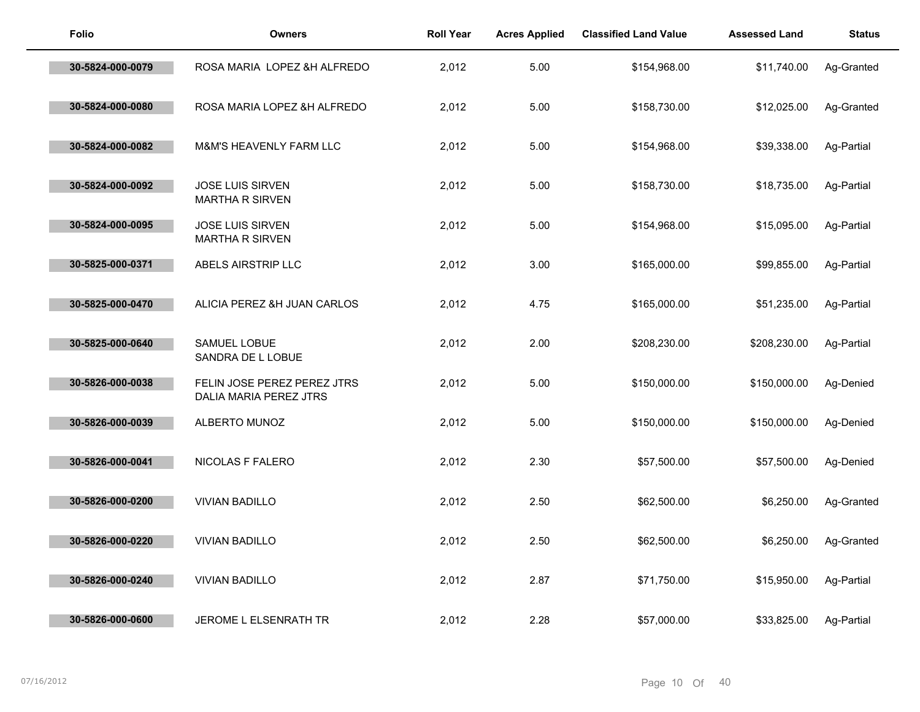| <b>Folio</b>     | <b>Owners</b>                                         | <b>Roll Year</b> | <b>Acres Applied</b> | <b>Classified Land Value</b> | <b>Assessed Land</b> | <b>Status</b> |
|------------------|-------------------------------------------------------|------------------|----------------------|------------------------------|----------------------|---------------|
| 30-5824-000-0079 | ROSA MARIA LOPEZ &H ALFREDO                           | 2,012            | 5.00                 | \$154,968.00                 | \$11,740.00          | Ag-Granted    |
| 30-5824-000-0080 | ROSA MARIA LOPEZ &H ALFREDO                           | 2,012            | 5.00                 | \$158,730.00                 | \$12,025.00          | Ag-Granted    |
| 30-5824-000-0082 | <b>M&amp;M'S HEAVENLY FARM LLC</b>                    | 2,012            | 5.00                 | \$154,968.00                 | \$39,338.00          | Ag-Partial    |
| 30-5824-000-0092 | JOSE LUIS SIRVEN<br><b>MARTHA R SIRVEN</b>            | 2,012            | 5.00                 | \$158,730.00                 | \$18,735.00          | Ag-Partial    |
| 30-5824-000-0095 | <b>JOSE LUIS SIRVEN</b><br><b>MARTHA R SIRVEN</b>     | 2,012            | 5.00                 | \$154,968.00                 | \$15,095.00          | Ag-Partial    |
| 30-5825-000-0371 | ABELS AIRSTRIP LLC                                    | 2,012            | 3.00                 | \$165,000.00                 | \$99,855.00          | Ag-Partial    |
| 30-5825-000-0470 | ALICIA PEREZ &H JUAN CARLOS                           | 2,012            | 4.75                 | \$165,000.00                 | \$51,235.00          | Ag-Partial    |
| 30-5825-000-0640 | SAMUEL LOBUE<br>SANDRA DE L LOBUE                     | 2,012            | 2.00                 | \$208,230.00                 | \$208,230.00         | Ag-Partial    |
| 30-5826-000-0038 | FELIN JOSE PEREZ PEREZ JTRS<br>DALIA MARIA PEREZ JTRS | 2,012            | 5.00                 | \$150,000.00                 | \$150,000.00         | Ag-Denied     |
| 30-5826-000-0039 | ALBERTO MUNOZ                                         | 2,012            | 5.00                 | \$150,000.00                 | \$150,000.00         | Ag-Denied     |
| 30-5826-000-0041 | NICOLAS F FALERO                                      | 2,012            | 2.30                 | \$57,500.00                  | \$57,500.00          | Ag-Denied     |
| 30-5826-000-0200 | <b>VIVIAN BADILLO</b>                                 | 2,012            | 2.50                 | \$62,500.00                  | \$6,250.00           | Ag-Granted    |
| 30-5826-000-0220 | <b>VIVIAN BADILLO</b>                                 | 2,012            | 2.50                 | \$62,500.00                  | \$6,250.00           | Ag-Granted    |
| 30-5826-000-0240 | <b>VIVIAN BADILLO</b>                                 | 2,012            | 2.87                 | \$71,750.00                  | \$15,950.00          | Ag-Partial    |
| 30-5826-000-0600 | <b>JEROME L ELSENRATH TR</b>                          | 2,012            | 2.28                 | \$57,000.00                  | \$33,825.00          | Ag-Partial    |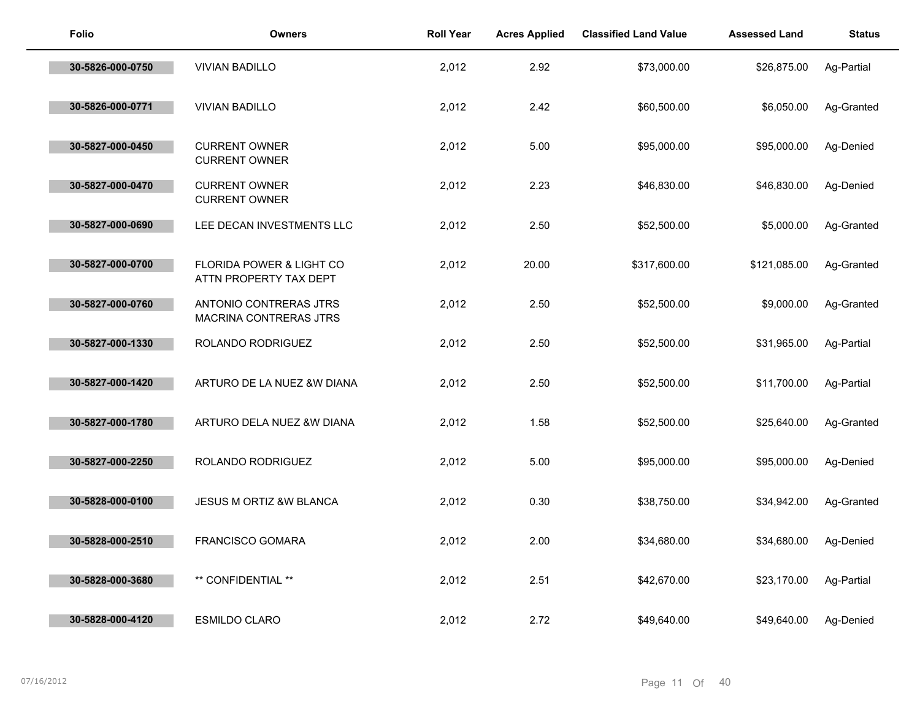| <b>Folio</b>     | <b>Owners</b>                                      | <b>Roll Year</b> | <b>Acres Applied</b> | <b>Classified Land Value</b> | <b>Assessed Land</b> | <b>Status</b> |
|------------------|----------------------------------------------------|------------------|----------------------|------------------------------|----------------------|---------------|
| 30-5826-000-0750 | <b>VIVIAN BADILLO</b>                              | 2,012            | 2.92                 | \$73,000.00                  | \$26,875.00          | Ag-Partial    |
| 30-5826-000-0771 | <b>VIVIAN BADILLO</b>                              | 2,012            | 2.42                 | \$60,500.00                  | \$6,050.00           | Ag-Granted    |
| 30-5827-000-0450 | <b>CURRENT OWNER</b><br><b>CURRENT OWNER</b>       | 2,012            | 5.00                 | \$95,000.00                  | \$95,000.00          | Ag-Denied     |
| 30-5827-000-0470 | <b>CURRENT OWNER</b><br><b>CURRENT OWNER</b>       | 2,012            | 2.23                 | \$46,830.00                  | \$46,830.00          | Ag-Denied     |
| 30-5827-000-0690 | LEE DECAN INVESTMENTS LLC                          | 2,012            | 2.50                 | \$52,500.00                  | \$5,000.00           | Ag-Granted    |
| 30-5827-000-0700 | FLORIDA POWER & LIGHT CO<br>ATTN PROPERTY TAX DEPT | 2,012            | 20.00                | \$317,600.00                 | \$121,085.00         | Ag-Granted    |
| 30-5827-000-0760 | ANTONIO CONTRERAS JTRS<br>MACRINA CONTRERAS JTRS   | 2,012            | 2.50                 | \$52,500.00                  | \$9,000.00           | Ag-Granted    |
| 30-5827-000-1330 | ROLANDO RODRIGUEZ                                  | 2,012            | 2.50                 | \$52,500.00                  | \$31,965.00          | Ag-Partial    |
| 30-5827-000-1420 | ARTURO DE LA NUEZ &W DIANA                         | 2,012            | 2.50                 | \$52,500.00                  | \$11,700.00          | Ag-Partial    |
| 30-5827-000-1780 | ARTURO DELA NUEZ &W DIANA                          | 2,012            | 1.58                 | \$52,500.00                  | \$25,640.00          | Ag-Granted    |
| 30-5827-000-2250 | ROLANDO RODRIGUEZ                                  | 2,012            | 5.00                 | \$95,000.00                  | \$95,000.00          | Ag-Denied     |
| 30-5828-000-0100 | JESUS M ORTIZ &W BLANCA                            | 2,012            | 0.30                 | \$38,750.00                  | \$34,942.00          | Ag-Granted    |
| 30-5828-000-2510 | <b>FRANCISCO GOMARA</b>                            | 2,012            | 2.00                 | \$34,680.00                  | \$34,680.00          | Ag-Denied     |
| 30-5828-000-3680 | ** CONFIDENTIAL **                                 | 2,012            | 2.51                 | \$42,670.00                  | \$23,170.00          | Ag-Partial    |
| 30-5828-000-4120 | <b>ESMILDO CLARO</b>                               | 2,012            | 2.72                 | \$49,640.00                  | \$49,640.00          | Ag-Denied     |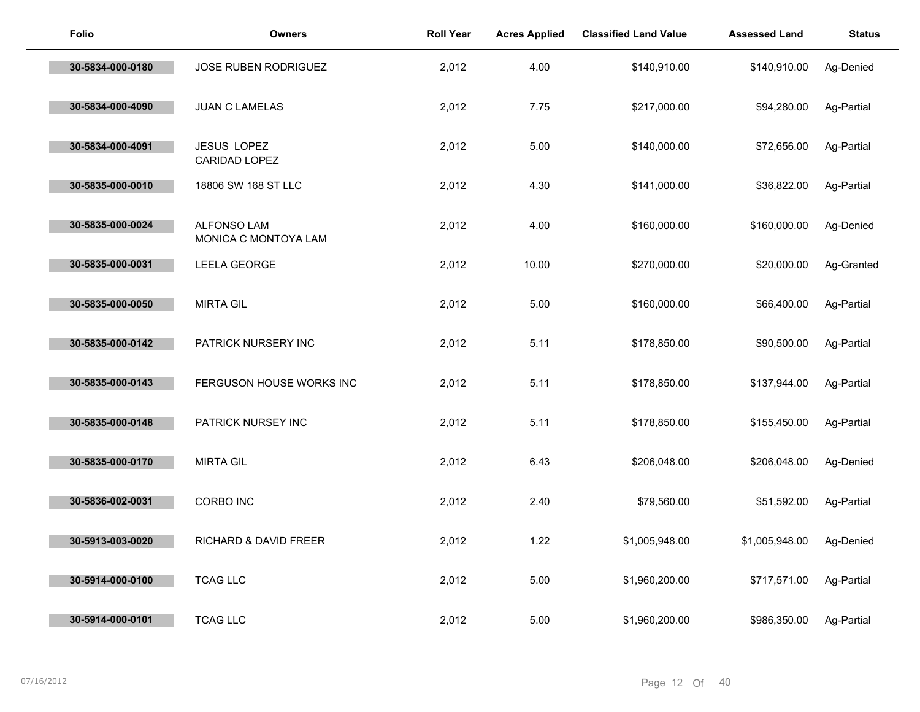| <b>Folio</b>     | <b>Owners</b>                              | <b>Roll Year</b> | <b>Acres Applied</b> | <b>Classified Land Value</b> | <b>Assessed Land</b> | <b>Status</b> |
|------------------|--------------------------------------------|------------------|----------------------|------------------------------|----------------------|---------------|
| 30-5834-000-0180 | <b>JOSE RUBEN RODRIGUEZ</b>                | 2,012            | 4.00                 | \$140,910.00                 | \$140,910.00         | Ag-Denied     |
| 30-5834-000-4090 | <b>JUAN C LAMELAS</b>                      | 2,012            | 7.75                 | \$217,000.00                 | \$94,280.00          | Ag-Partial    |
| 30-5834-000-4091 | JESUS LOPEZ<br>CARIDAD LOPEZ               | 2,012            | 5.00                 | \$140,000.00                 | \$72,656.00          | Ag-Partial    |
| 30-5835-000-0010 | 18806 SW 168 ST LLC                        | 2,012            | 4.30                 | \$141,000.00                 | \$36,822.00          | Ag-Partial    |
| 30-5835-000-0024 | <b>ALFONSO LAM</b><br>MONICA C MONTOYA LAM | 2,012            | 4.00                 | \$160,000.00                 | \$160,000.00         | Ag-Denied     |
| 30-5835-000-0031 | <b>LEELA GEORGE</b>                        | 2,012            | 10.00                | \$270,000.00                 | \$20,000.00          | Ag-Granted    |
| 30-5835-000-0050 | <b>MIRTA GIL</b>                           | 2,012            | 5.00                 | \$160,000.00                 | \$66,400.00          | Ag-Partial    |
| 30-5835-000-0142 | PATRICK NURSERY INC                        | 2,012            | 5.11                 | \$178,850.00                 | \$90,500.00          | Ag-Partial    |
| 30-5835-000-0143 | FERGUSON HOUSE WORKS INC                   | 2,012            | 5.11                 | \$178,850.00                 | \$137,944.00         | Ag-Partial    |
| 30-5835-000-0148 | PATRICK NURSEY INC                         | 2,012            | 5.11                 | \$178,850.00                 | \$155,450.00         | Ag-Partial    |
| 30-5835-000-0170 | <b>MIRTA GIL</b>                           | 2,012            | 6.43                 | \$206,048.00                 | \$206,048.00         | Ag-Denied     |
| 30-5836-002-0031 | <b>CORBO INC</b>                           | 2,012            | 2.40                 | \$79,560.00                  | \$51,592.00          | Ag-Partial    |
| 30-5913-003-0020 | RICHARD & DAVID FREER                      | 2,012            | 1.22                 | \$1,005,948.00               | \$1,005,948.00       | Ag-Denied     |
| 30-5914-000-0100 | <b>TCAG LLC</b>                            | 2,012            | 5.00                 | \$1,960,200.00               | \$717,571.00         | Ag-Partial    |
| 30-5914-000-0101 | <b>TCAG LLC</b>                            | 2,012            | 5.00                 | \$1,960,200.00               | \$986,350.00         | Ag-Partial    |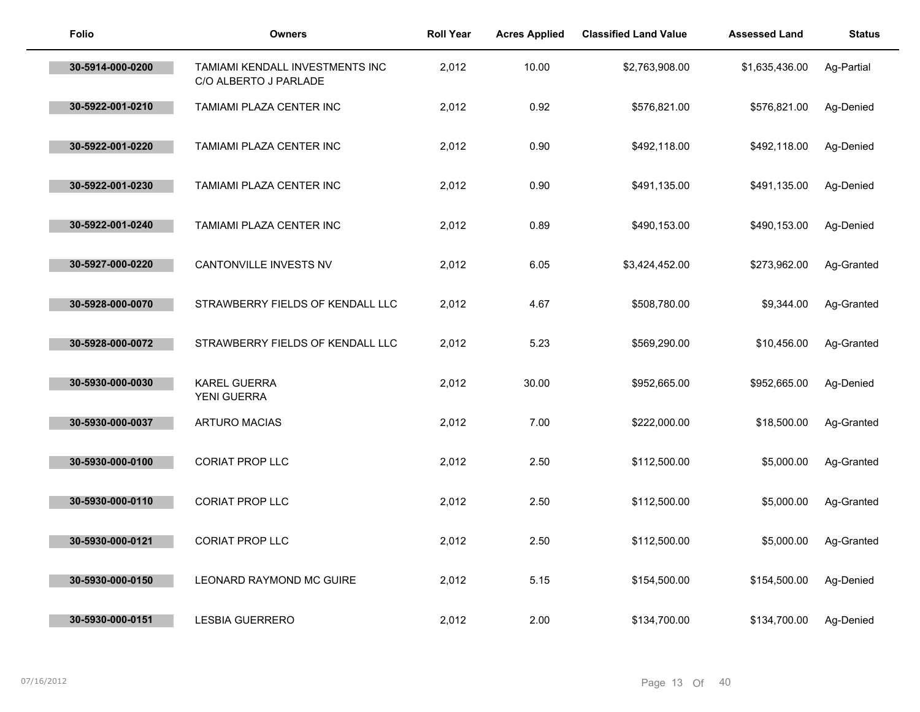| <b>Folio</b>     | <b>Owners</b>                                            | <b>Roll Year</b> | <b>Acres Applied</b> | <b>Classified Land Value</b> | <b>Assessed Land</b> | <b>Status</b> |
|------------------|----------------------------------------------------------|------------------|----------------------|------------------------------|----------------------|---------------|
| 30-5914-000-0200 | TAMIAMI KENDALL INVESTMENTS INC<br>C/O ALBERTO J PARLADE | 2,012            | 10.00                | \$2,763,908.00               | \$1,635,436.00       | Ag-Partial    |
| 30-5922-001-0210 | TAMIAMI PLAZA CENTER INC                                 | 2,012            | 0.92                 | \$576,821.00                 | \$576,821.00         | Ag-Denied     |
| 30-5922-001-0220 | TAMIAMI PLAZA CENTER INC                                 | 2,012            | 0.90                 | \$492,118.00                 | \$492,118.00         | Ag-Denied     |
| 30-5922-001-0230 | TAMIAMI PLAZA CENTER INC                                 | 2,012            | 0.90                 | \$491,135.00                 | \$491,135.00         | Ag-Denied     |
| 30-5922-001-0240 | TAMIAMI PLAZA CENTER INC                                 | 2,012            | 0.89                 | \$490,153.00                 | \$490,153.00         | Ag-Denied     |
| 30-5927-000-0220 | CANTONVILLE INVESTS NV                                   | 2,012            | 6.05                 | \$3,424,452.00               | \$273,962.00         | Ag-Granted    |
| 30-5928-000-0070 | STRAWBERRY FIELDS OF KENDALL LLC                         | 2,012            | 4.67                 | \$508,780.00                 | \$9,344.00           | Ag-Granted    |
| 30-5928-000-0072 | STRAWBERRY FIELDS OF KENDALL LLC                         | 2,012            | 5.23                 | \$569,290.00                 | \$10,456.00          | Ag-Granted    |
| 30-5930-000-0030 | KAREL GUERRA<br>YENI GUERRA                              | 2,012            | 30.00                | \$952,665.00                 | \$952,665.00         | Ag-Denied     |
| 30-5930-000-0037 | <b>ARTURO MACIAS</b>                                     | 2,012            | 7.00                 | \$222,000.00                 | \$18,500.00          | Ag-Granted    |
| 30-5930-000-0100 | <b>CORIAT PROP LLC</b>                                   | 2,012            | 2.50                 | \$112,500.00                 | \$5,000.00           | Ag-Granted    |
| 30-5930-000-0110 | CORIAT PROP LLC                                          | 2,012            | 2.50                 | \$112,500.00                 | \$5,000.00           | Ag-Granted    |
| 30-5930-000-0121 | <b>CORIAT PROP LLC</b>                                   | 2,012            | 2.50                 | \$112,500.00                 | \$5,000.00           | Ag-Granted    |
| 30-5930-000-0150 | LEONARD RAYMOND MC GUIRE                                 | 2,012            | 5.15                 | \$154,500.00                 | \$154,500.00         | Ag-Denied     |
| 30-5930-000-0151 | <b>LESBIA GUERRERO</b>                                   | 2,012            | 2.00                 | \$134,700.00                 | \$134,700.00         | Ag-Denied     |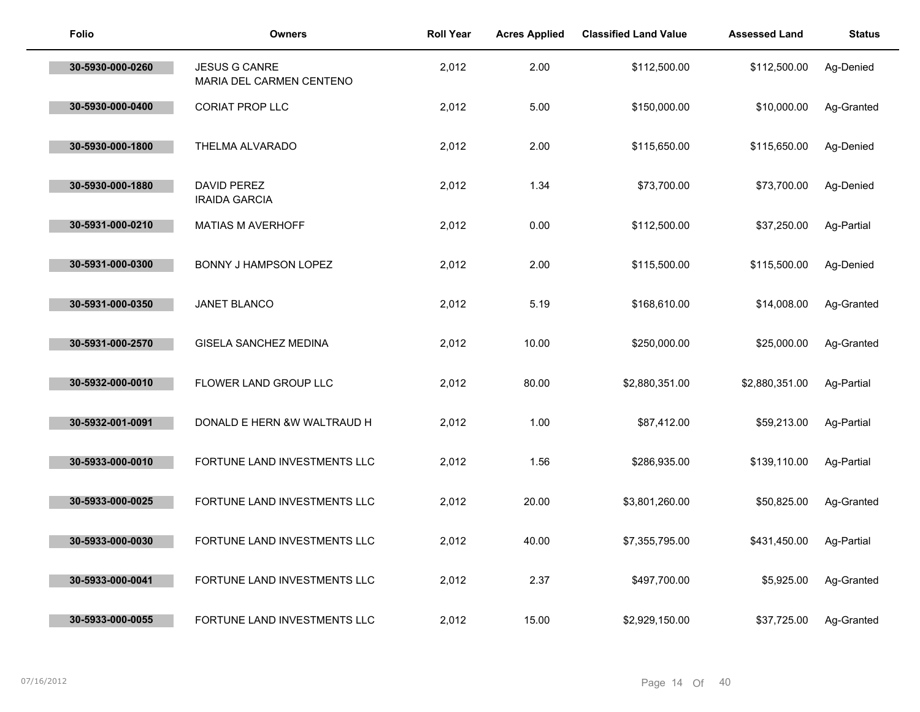| <b>Folio</b>     | <b>Owners</b>                                    | <b>Roll Year</b> | <b>Acres Applied</b> | <b>Classified Land Value</b> | <b>Assessed Land</b> | <b>Status</b> |
|------------------|--------------------------------------------------|------------------|----------------------|------------------------------|----------------------|---------------|
| 30-5930-000-0260 | <b>JESUS G CANRE</b><br>MARIA DEL CARMEN CENTENO | 2,012            | 2.00                 | \$112,500.00                 | \$112,500.00         | Ag-Denied     |
| 30-5930-000-0400 | CORIAT PROP LLC                                  | 2,012            | 5.00                 | \$150,000.00                 | \$10,000.00          | Ag-Granted    |
| 30-5930-000-1800 | THELMA ALVARADO                                  | 2,012            | 2.00                 | \$115,650.00                 | \$115,650.00         | Ag-Denied     |
| 30-5930-000-1880 | DAVID PEREZ<br><b>IRAIDA GARCIA</b>              | 2,012            | 1.34                 | \$73,700.00                  | \$73,700.00          | Ag-Denied     |
| 30-5931-000-0210 | MATIAS M AVERHOFF                                | 2,012            | 0.00                 | \$112,500.00                 | \$37,250.00          | Ag-Partial    |
| 30-5931-000-0300 | <b>BONNY J HAMPSON LOPEZ</b>                     | 2,012            | 2.00                 | \$115,500.00                 | \$115,500.00         | Ag-Denied     |
| 30-5931-000-0350 | JANET BLANCO                                     | 2,012            | 5.19                 | \$168,610.00                 | \$14,008.00          | Ag-Granted    |
| 30-5931-000-2570 | GISELA SANCHEZ MEDINA                            | 2,012            | 10.00                | \$250,000.00                 | \$25,000.00          | Ag-Granted    |
| 30-5932-000-0010 | FLOWER LAND GROUP LLC                            | 2,012            | 80.00                | \$2,880,351.00               | \$2,880,351.00       | Ag-Partial    |
| 30-5932-001-0091 | DONALD E HERN &W WALTRAUD H                      | 2,012            | 1.00                 | \$87,412.00                  | \$59,213.00          | Ag-Partial    |
| 30-5933-000-0010 | FORTUNE LAND INVESTMENTS LLC                     | 2,012            | 1.56                 | \$286,935.00                 | \$139,110.00         | Ag-Partial    |
| 30-5933-000-0025 | FORTUNE LAND INVESTMENTS LLC                     | 2,012            | 20.00                | \$3,801,260.00               | \$50,825.00          | Ag-Granted    |
| 30-5933-000-0030 | FORTUNE LAND INVESTMENTS LLC                     | 2,012            | 40.00                | \$7,355,795.00               | \$431,450.00         | Ag-Partial    |
| 30-5933-000-0041 | FORTUNE LAND INVESTMENTS LLC                     | 2,012            | 2.37                 | \$497,700.00                 | \$5,925.00           | Ag-Granted    |
| 30-5933-000-0055 | FORTUNE LAND INVESTMENTS LLC                     | 2,012            | 15.00                | \$2,929,150.00               | \$37,725.00          | Ag-Granted    |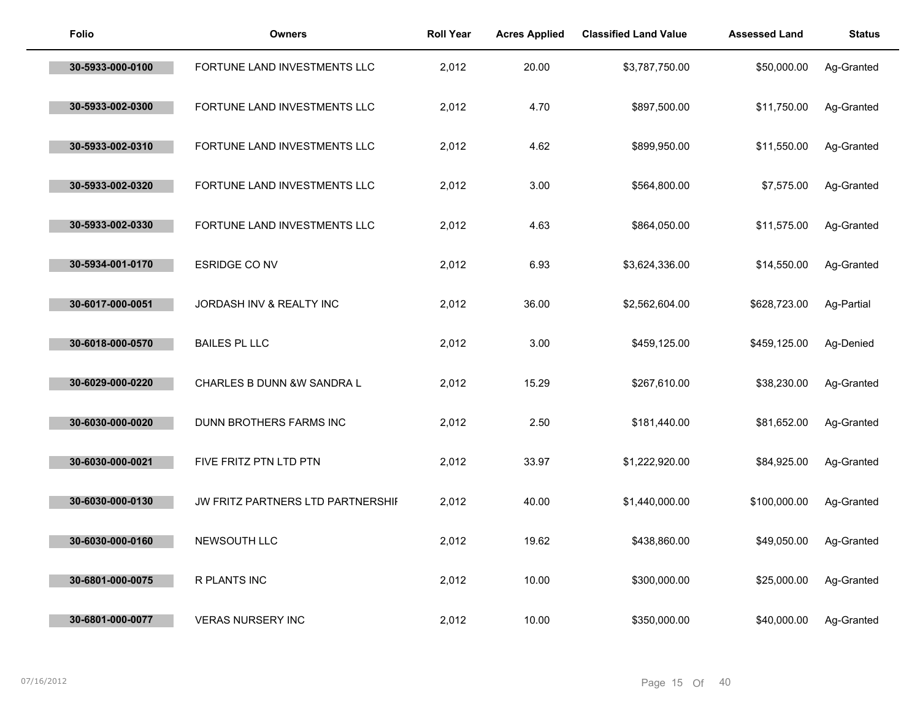| <b>Folio</b>     | <b>Owners</b>                     | <b>Roll Year</b> | <b>Acres Applied</b> | <b>Classified Land Value</b> | <b>Assessed Land</b> | <b>Status</b> |
|------------------|-----------------------------------|------------------|----------------------|------------------------------|----------------------|---------------|
| 30-5933-000-0100 | FORTUNE LAND INVESTMENTS LLC      | 2,012            | 20.00                | \$3,787,750.00               | \$50,000.00          | Ag-Granted    |
| 30-5933-002-0300 | FORTUNE LAND INVESTMENTS LLC      | 2,012            | 4.70                 | \$897,500.00                 | \$11,750.00          | Ag-Granted    |
| 30-5933-002-0310 | FORTUNE LAND INVESTMENTS LLC      | 2,012            | 4.62                 | \$899,950.00                 | \$11,550.00          | Ag-Granted    |
| 30-5933-002-0320 | FORTUNE LAND INVESTMENTS LLC      | 2,012            | 3.00                 | \$564,800.00                 | \$7,575.00           | Ag-Granted    |
| 30-5933-002-0330 | FORTUNE LAND INVESTMENTS LLC      | 2,012            | 4.63                 | \$864,050.00                 | \$11,575.00          | Ag-Granted    |
| 30-5934-001-0170 | <b>ESRIDGE CO NV</b>              | 2,012            | 6.93                 | \$3,624,336.00               | \$14,550.00          | Ag-Granted    |
| 30-6017-000-0051 | JORDASH INV & REALTY INC          | 2,012            | 36.00                | \$2,562,604.00               | \$628,723.00         | Ag-Partial    |
| 30-6018-000-0570 | <b>BAILES PL LLC</b>              | 2,012            | 3.00                 | \$459,125.00                 | \$459,125.00         | Ag-Denied     |
| 30-6029-000-0220 | CHARLES B DUNN &W SANDRA L        | 2,012            | 15.29                | \$267,610.00                 | \$38,230.00          | Ag-Granted    |
| 30-6030-000-0020 | DUNN BROTHERS FARMS INC           | 2,012            | 2.50                 | \$181,440.00                 | \$81,652.00          | Ag-Granted    |
| 30-6030-000-0021 | FIVE FRITZ PTN LTD PTN            | 2,012            | 33.97                | \$1,222,920.00               | \$84,925.00          | Ag-Granted    |
| 30-6030-000-0130 | JW FRITZ PARTNERS LTD PARTNERSHII | 2,012            | 40.00                | \$1,440,000.00               | \$100,000.00         | Ag-Granted    |
| 30-6030-000-0160 | NEWSOUTH LLC                      | 2,012            | 19.62                | \$438,860.00                 | \$49,050.00          | Ag-Granted    |
| 30-6801-000-0075 | R PLANTS INC                      | 2,012            | 10.00                | \$300,000.00                 | \$25,000.00          | Ag-Granted    |
| 30-6801-000-0077 | <b>VERAS NURSERY INC</b>          | 2,012            | 10.00                | \$350,000.00                 | \$40,000.00          | Ag-Granted    |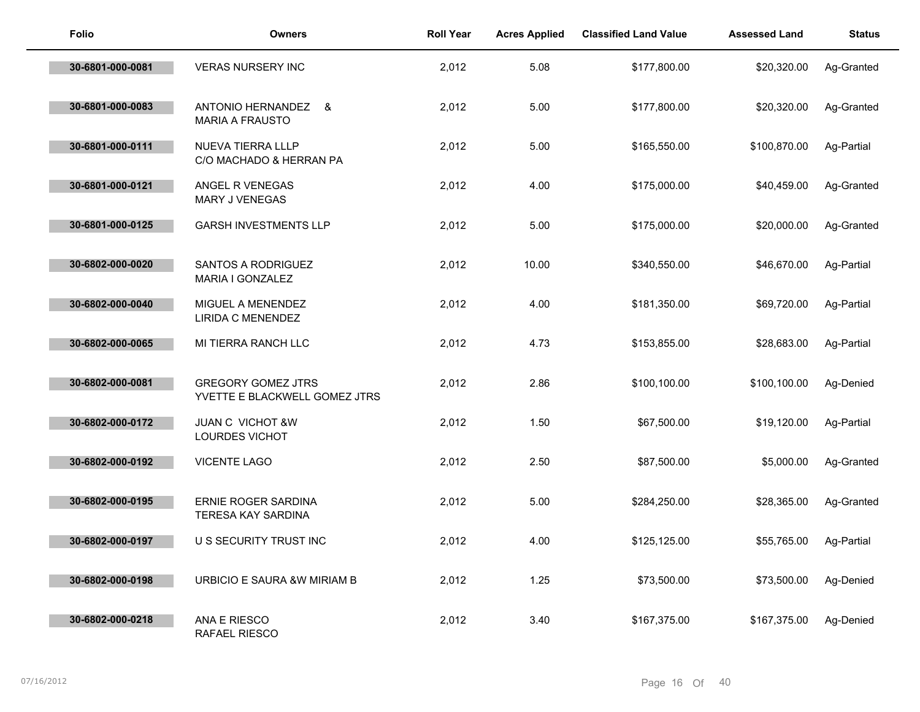| <b>Folio</b>     | <b>Owners</b>                                              | <b>Roll Year</b> | <b>Acres Applied</b> | <b>Classified Land Value</b> | <b>Assessed Land</b> | <b>Status</b> |
|------------------|------------------------------------------------------------|------------------|----------------------|------------------------------|----------------------|---------------|
| 30-6801-000-0081 | <b>VERAS NURSERY INC</b>                                   | 2,012            | 5.08                 | \$177,800.00                 | \$20,320.00          | Ag-Granted    |
| 30-6801-000-0083 | ANTONIO HERNANDEZ &<br><b>MARIA A FRAUSTO</b>              | 2,012            | 5.00                 | \$177,800.00                 | \$20,320.00          | Ag-Granted    |
| 30-6801-000-0111 | NUEVA TIERRA LLLP<br>C/O MACHADO & HERRAN PA               | 2,012            | 5.00                 | \$165,550.00                 | \$100,870.00         | Ag-Partial    |
| 30-6801-000-0121 | ANGEL R VENEGAS<br>MARY J VENEGAS                          | 2,012            | 4.00                 | \$175,000.00                 | \$40,459.00          | Ag-Granted    |
| 30-6801-000-0125 | <b>GARSH INVESTMENTS LLP</b>                               | 2,012            | 5.00                 | \$175,000.00                 | \$20,000.00          | Ag-Granted    |
| 30-6802-000-0020 | SANTOS A RODRIGUEZ<br>MARIA I GONZALEZ                     | 2,012            | 10.00                | \$340,550.00                 | \$46,670.00          | Ag-Partial    |
| 30-6802-000-0040 | MIGUEL A MENENDEZ<br>LIRIDA C MENENDEZ                     | 2,012            | 4.00                 | \$181,350.00                 | \$69,720.00          | Ag-Partial    |
| 30-6802-000-0065 | MI TIERRA RANCH LLC                                        | 2,012            | 4.73                 | \$153,855.00                 | \$28,683.00          | Ag-Partial    |
| 30-6802-000-0081 | <b>GREGORY GOMEZ JTRS</b><br>YVETTE E BLACKWELL GOMEZ JTRS | 2,012            | 2.86                 | \$100,100.00                 | \$100,100.00         | Ag-Denied     |
| 30-6802-000-0172 | <b>JUAN C VICHOT &amp;W</b><br>LOURDES VICHOT              | 2,012            | 1.50                 | \$67,500.00                  | \$19,120.00          | Ag-Partial    |
| 30-6802-000-0192 | <b>VICENTE LAGO</b>                                        | 2,012            | 2.50                 | \$87,500.00                  | \$5,000.00           | Ag-Granted    |
| 30-6802-000-0195 | ERNIE ROGER SARDINA<br>TERESA KAY SARDINA                  | 2,012            | 5.00                 | \$284,250.00                 | \$28,365.00          | Ag-Granted    |
| 30-6802-000-0197 | U S SECURITY TRUST INC                                     | 2,012            | 4.00                 | \$125,125.00                 | \$55,765.00          | Ag-Partial    |
| 30-6802-000-0198 | URBICIO E SAURA & W MIRIAM B                               | 2,012            | 1.25                 | \$73,500.00                  | \$73,500.00          | Ag-Denied     |
| 30-6802-000-0218 | ANA E RIESCO<br>RAFAEL RIESCO                              | 2,012            | 3.40                 | \$167,375.00                 | \$167,375.00         | Ag-Denied     |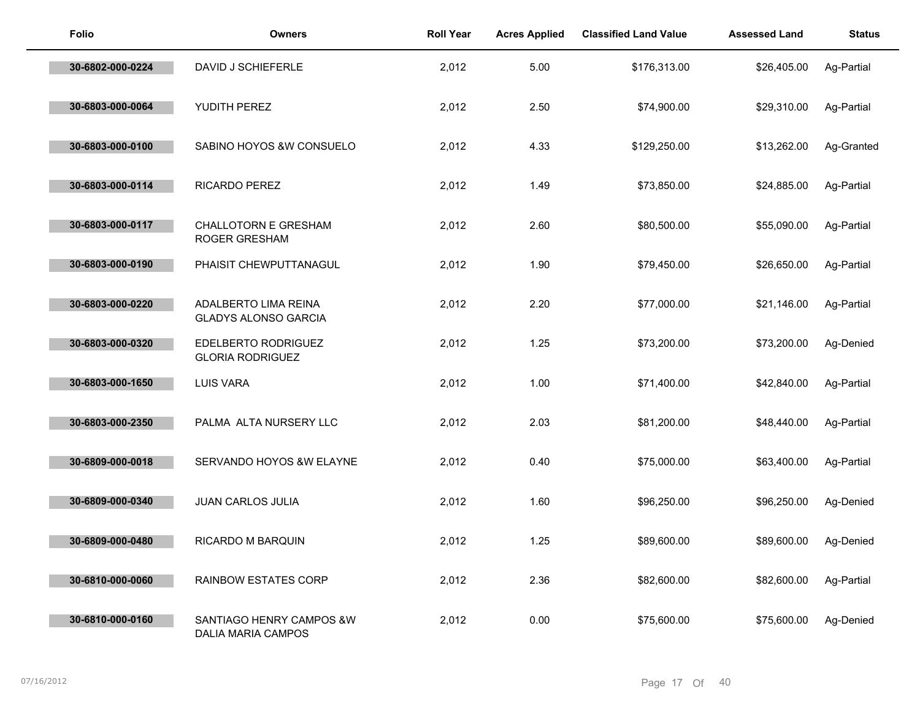| <b>Folio</b>     | <b>Owners</b>                                       | <b>Roll Year</b> | <b>Acres Applied</b> | <b>Classified Land Value</b> | <b>Assessed Land</b> | <b>Status</b> |
|------------------|-----------------------------------------------------|------------------|----------------------|------------------------------|----------------------|---------------|
| 30-6802-000-0224 | DAVID J SCHIEFERLE                                  | 2,012            | 5.00                 | \$176,313.00                 | \$26,405.00          | Ag-Partial    |
| 30-6803-000-0064 | YUDITH PEREZ                                        | 2,012            | 2.50                 | \$74,900.00                  | \$29,310.00          | Ag-Partial    |
| 30-6803-000-0100 | SABINO HOYOS &W CONSUELO                            | 2,012            | 4.33                 | \$129,250.00                 | \$13,262.00          | Ag-Granted    |
| 30-6803-000-0114 | RICARDO PEREZ                                       | 2,012            | 1.49                 | \$73,850.00                  | \$24,885.00          | Ag-Partial    |
| 30-6803-000-0117 | <b>CHALLOTORN E GRESHAM</b><br><b>ROGER GRESHAM</b> | 2,012            | 2.60                 | \$80,500.00                  | \$55,090.00          | Ag-Partial    |
| 30-6803-000-0190 | PHAISIT CHEWPUTTANAGUL                              | 2,012            | 1.90                 | \$79,450.00                  | \$26,650.00          | Ag-Partial    |
| 30-6803-000-0220 | ADALBERTO LIMA REINA<br><b>GLADYS ALONSO GARCIA</b> | 2,012            | 2.20                 | \$77,000.00                  | \$21,146.00          | Ag-Partial    |
| 30-6803-000-0320 | EDELBERTO RODRIGUEZ<br><b>GLORIA RODRIGUEZ</b>      | 2,012            | 1.25                 | \$73,200.00                  | \$73,200.00          | Ag-Denied     |
| 30-6803-000-1650 | <b>LUIS VARA</b>                                    | 2,012            | 1.00                 | \$71,400.00                  | \$42,840.00          | Ag-Partial    |
| 30-6803-000-2350 | PALMA ALTA NURSERY LLC                              | 2,012            | 2.03                 | \$81,200.00                  | \$48,440.00          | Ag-Partial    |
| 30-6809-000-0018 | SERVANDO HOYOS &W ELAYNE                            | 2,012            | 0.40                 | \$75,000.00                  | \$63,400.00          | Ag-Partial    |
| 30-6809-000-0340 | <b>JUAN CARLOS JULIA</b>                            | 2,012            | 1.60                 | \$96,250.00                  | \$96,250.00          | Ag-Denied     |
| 30-6809-000-0480 | RICARDO M BARQUIN                                   | 2,012            | 1.25                 | \$89,600.00                  | \$89,600.00          | Ag-Denied     |
| 30-6810-000-0060 | RAINBOW ESTATES CORP                                | 2,012            | 2.36                 | \$82,600.00                  | \$82,600.00          | Ag-Partial    |
| 30-6810-000-0160 | SANTIAGO HENRY CAMPOS &W<br>DALIA MARIA CAMPOS      | 2,012            | 0.00                 | \$75,600.00                  | \$75,600.00          | Ag-Denied     |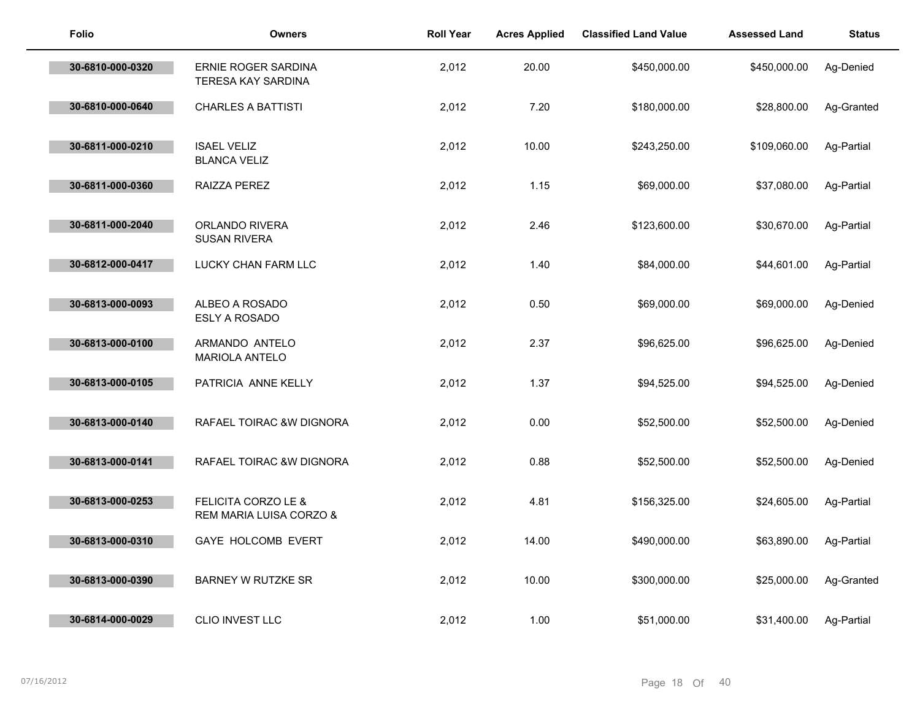| Folio            | <b>Owners</b>                                             | <b>Roll Year</b> | <b>Acres Applied</b> | <b>Classified Land Value</b> | <b>Assessed Land</b> | <b>Status</b> |
|------------------|-----------------------------------------------------------|------------------|----------------------|------------------------------|----------------------|---------------|
| 30-6810-000-0320 | ERNIE ROGER SARDINA<br>TERESA KAY SARDINA                 | 2,012            | 20.00                | \$450,000.00                 | \$450,000.00         | Ag-Denied     |
| 30-6810-000-0640 | <b>CHARLES A BATTISTI</b>                                 | 2,012            | 7.20                 | \$180,000.00                 | \$28,800.00          | Ag-Granted    |
| 30-6811-000-0210 | <b>ISAEL VELIZ</b><br><b>BLANCA VELIZ</b>                 | 2,012            | 10.00                | \$243,250.00                 | \$109,060.00         | Ag-Partial    |
| 30-6811-000-0360 | RAIZZA PEREZ                                              | 2,012            | 1.15                 | \$69,000.00                  | \$37,080.00          | Ag-Partial    |
| 30-6811-000-2040 | ORLANDO RIVERA<br><b>SUSAN RIVERA</b>                     | 2,012            | 2.46                 | \$123,600.00                 | \$30,670.00          | Ag-Partial    |
| 30-6812-000-0417 | LUCKY CHAN FARM LLC                                       | 2,012            | 1.40                 | \$84,000.00                  | \$44,601.00          | Ag-Partial    |
| 30-6813-000-0093 | ALBEO A ROSADO<br>ESLY A ROSADO                           | 2,012            | 0.50                 | \$69,000.00                  | \$69,000.00          | Ag-Denied     |
| 30-6813-000-0100 | ARMANDO ANTELO<br>MARIOLA ANTELO                          | 2,012            | 2.37                 | \$96,625.00                  | \$96,625.00          | Ag-Denied     |
| 30-6813-000-0105 | PATRICIA ANNE KELLY                                       | 2,012            | 1.37                 | \$94,525.00                  | \$94,525.00          | Ag-Denied     |
| 30-6813-000-0140 | RAFAEL TOIRAC &W DIGNORA                                  | 2,012            | 0.00                 | \$52,500.00                  | \$52,500.00          | Ag-Denied     |
| 30-6813-000-0141 | RAFAEL TOIRAC &W DIGNORA                                  | 2,012            | 0.88                 | \$52,500.00                  | \$52,500.00          | Ag-Denied     |
| 30-6813-000-0253 | <b>FELICITA CORZO LE &amp;</b><br>REM MARIA LUISA CORZO & | 2,012            | 4.81                 | \$156,325.00                 | \$24,605.00          | Ag-Partial    |
| 30-6813-000-0310 | GAYE HOLCOMB EVERT                                        | 2,012            | 14.00                | \$490,000.00                 | \$63,890.00          | Ag-Partial    |
| 30-6813-000-0390 | <b>BARNEY W RUTZKE SR</b>                                 | 2,012            | 10.00                | \$300,000.00                 | \$25,000.00          | Ag-Granted    |
| 30-6814-000-0029 | CLIO INVEST LLC                                           | 2,012            | 1.00                 | \$51,000.00                  | \$31,400.00          | Ag-Partial    |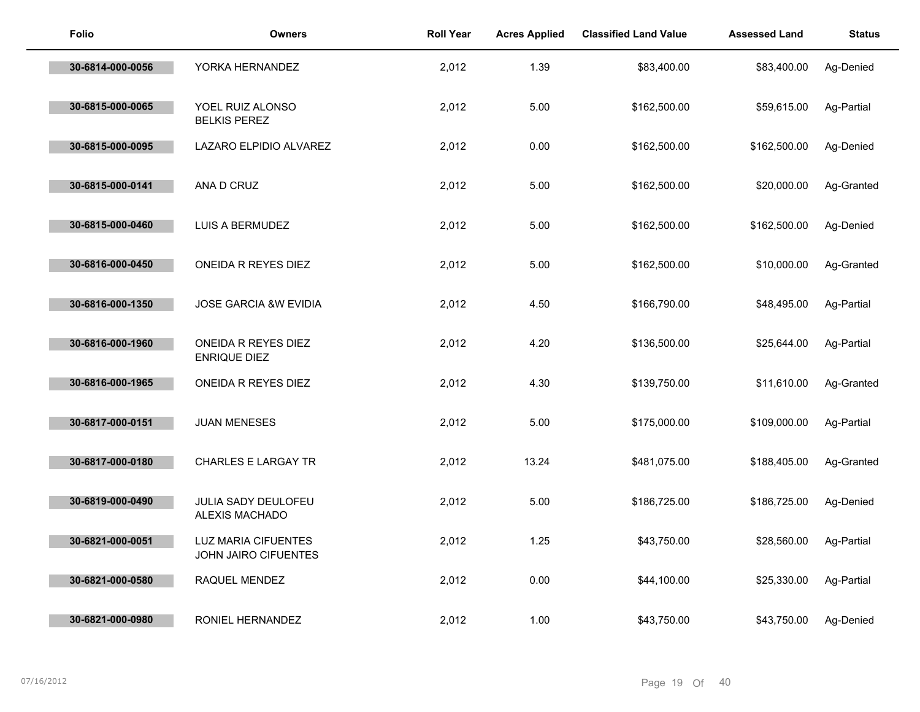| <b>Folio</b>     | <b>Owners</b>                                      | <b>Roll Year</b> | <b>Acres Applied</b> | <b>Classified Land Value</b> | <b>Assessed Land</b> | <b>Status</b> |
|------------------|----------------------------------------------------|------------------|----------------------|------------------------------|----------------------|---------------|
| 30-6814-000-0056 | YORKA HERNANDEZ                                    | 2,012            | 1.39                 | \$83,400.00                  | \$83,400.00          | Ag-Denied     |
| 30-6815-000-0065 | YOEL RUIZ ALONSO<br><b>BELKIS PEREZ</b>            | 2,012            | 5.00                 | \$162,500.00                 | \$59,615.00          | Ag-Partial    |
| 30-6815-000-0095 | LAZARO ELPIDIO ALVAREZ                             | 2,012            | 0.00                 | \$162,500.00                 | \$162,500.00         | Ag-Denied     |
| 30-6815-000-0141 | ANA D CRUZ                                         | 2,012            | 5.00                 | \$162,500.00                 | \$20,000.00          | Ag-Granted    |
| 30-6815-000-0460 | LUIS A BERMUDEZ                                    | 2,012            | 5.00                 | \$162,500.00                 | \$162,500.00         | Ag-Denied     |
| 30-6816-000-0450 | ONEIDA R REYES DIEZ                                | 2,012            | 5.00                 | \$162,500.00                 | \$10,000.00          | Ag-Granted    |
| 30-6816-000-1350 | JOSE GARCIA &W EVIDIA                              | 2,012            | 4.50                 | \$166,790.00                 | \$48,495.00          | Ag-Partial    |
| 30-6816-000-1960 | ONEIDA R REYES DIEZ<br><b>ENRIQUE DIEZ</b>         | 2,012            | 4.20                 | \$136,500.00                 | \$25,644.00          | Ag-Partial    |
| 30-6816-000-1965 | ONEIDA R REYES DIEZ                                | 2,012            | 4.30                 | \$139,750.00                 | \$11,610.00          | Ag-Granted    |
| 30-6817-000-0151 | <b>JUAN MENESES</b>                                | 2,012            | 5.00                 | \$175,000.00                 | \$109,000.00         | Ag-Partial    |
| 30-6817-000-0180 | <b>CHARLES E LARGAY TR</b>                         | 2,012            | 13.24                | \$481,075.00                 | \$188,405.00         | Ag-Granted    |
| 30-6819-000-0490 | JULIA SADY DEULOFEU<br>ALEXIS MACHADO              | 2,012            | 5.00                 | \$186,725.00                 | \$186,725.00         | Ag-Denied     |
| 30-6821-000-0051 | <b>LUZ MARIA CIFUENTES</b><br>JOHN JAIRO CIFUENTES | 2,012            | 1.25                 | \$43,750.00                  | \$28,560.00          | Ag-Partial    |
| 30-6821-000-0580 | RAQUEL MENDEZ                                      | 2,012            | 0.00                 | \$44,100.00                  | \$25,330.00          | Ag-Partial    |
| 30-6821-000-0980 | RONIEL HERNANDEZ                                   | 2,012            | 1.00                 | \$43,750.00                  | \$43,750.00          | Ag-Denied     |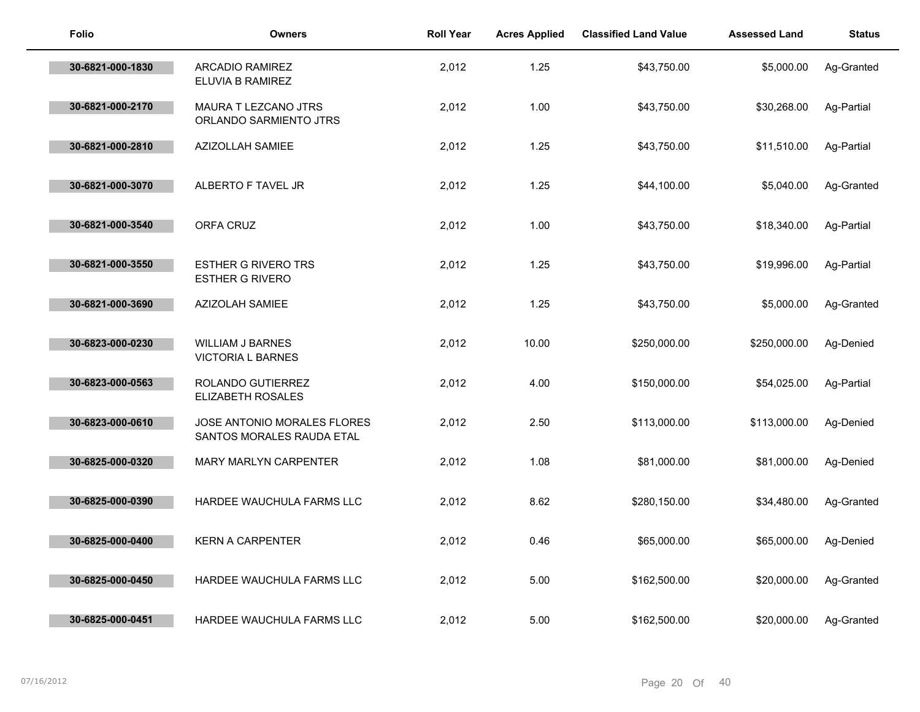| Folio            | <b>Owners</b>                                            | <b>Roll Year</b> | <b>Acres Applied</b> | <b>Classified Land Value</b> | <b>Assessed Land</b> | <b>Status</b> |
|------------------|----------------------------------------------------------|------------------|----------------------|------------------------------|----------------------|---------------|
| 30-6821-000-1830 | <b>ARCADIO RAMIREZ</b><br>ELUVIA B RAMIREZ               | 2,012            | 1.25                 | \$43,750.00                  | \$5,000.00           | Ag-Granted    |
| 30-6821-000-2170 | MAURA T LEZCANO JTRS<br>ORLANDO SARMIENTO JTRS           | 2,012            | 1.00                 | \$43,750.00                  | \$30,268.00          | Ag-Partial    |
| 30-6821-000-2810 | <b>AZIZOLLAH SAMIEE</b>                                  | 2,012            | 1.25                 | \$43,750.00                  | \$11,510.00          | Ag-Partial    |
| 30-6821-000-3070 | ALBERTO F TAVEL JR                                       | 2,012            | 1.25                 | \$44,100.00                  | \$5,040.00           | Ag-Granted    |
| 30-6821-000-3540 | ORFA CRUZ                                                | 2,012            | 1.00                 | \$43,750.00                  | \$18,340.00          | Ag-Partial    |
| 30-6821-000-3550 | <b>ESTHER G RIVERO TRS</b><br><b>ESTHER G RIVERO</b>     | 2,012            | 1.25                 | \$43,750.00                  | \$19,996.00          | Ag-Partial    |
| 30-6821-000-3690 | AZIZOLAH SAMIEE                                          | 2,012            | 1.25                 | \$43,750.00                  | \$5,000.00           | Ag-Granted    |
| 30-6823-000-0230 | <b>WILLIAM J BARNES</b><br><b>VICTORIA L BARNES</b>      | 2,012            | 10.00                | \$250,000.00                 | \$250,000.00         | Ag-Denied     |
| 30-6823-000-0563 | ROLANDO GUTIERREZ<br><b>ELIZABETH ROSALES</b>            | 2,012            | 4.00                 | \$150,000.00                 | \$54,025.00          | Ag-Partial    |
| 30-6823-000-0610 | JOSE ANTONIO MORALES FLORES<br>SANTOS MORALES RAUDA ETAL | 2,012            | 2.50                 | \$113,000.00                 | \$113,000.00         | Ag-Denied     |
| 30-6825-000-0320 | MARY MARLYN CARPENTER                                    | 2,012            | 1.08                 | \$81,000.00                  | \$81,000.00          | Ag-Denied     |
| 30-6825-000-0390 | HARDEE WAUCHULA FARMS LLC                                | 2,012            | 8.62                 | \$280,150.00                 | \$34,480.00          | Ag-Granted    |
| 30-6825-000-0400 | <b>KERN A CARPENTER</b>                                  | 2,012            | 0.46                 | \$65,000.00                  | \$65,000.00          | Ag-Denied     |
| 30-6825-000-0450 | HARDEE WAUCHULA FARMS LLC                                | 2,012            | 5.00                 | \$162,500.00                 | \$20,000.00          | Ag-Granted    |
| 30-6825-000-0451 | HARDEE WAUCHULA FARMS LLC                                | 2,012            | 5.00                 | \$162,500.00                 | \$20,000.00          | Ag-Granted    |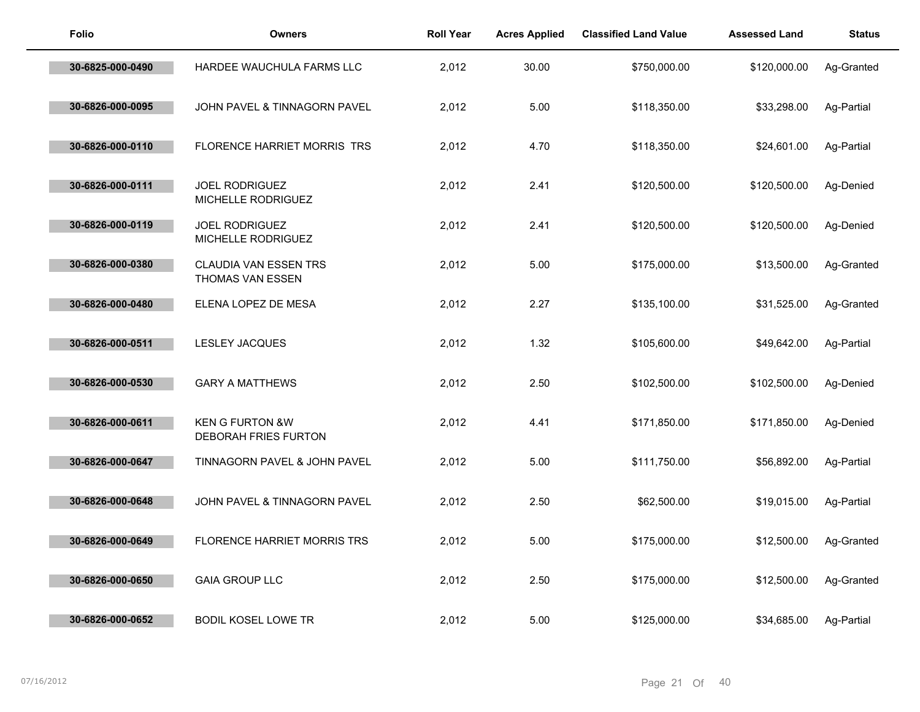| <b>Folio</b>     | <b>Owners</b>                                      | <b>Roll Year</b> | <b>Acres Applied</b> | <b>Classified Land Value</b> | <b>Assessed Land</b> | <b>Status</b> |
|------------------|----------------------------------------------------|------------------|----------------------|------------------------------|----------------------|---------------|
| 30-6825-000-0490 | HARDEE WAUCHULA FARMS LLC                          | 2,012            | 30.00                | \$750,000.00                 | \$120,000.00         | Ag-Granted    |
| 30-6826-000-0095 | JOHN PAVEL & TINNAGORN PAVEL                       | 2,012            | 5.00                 | \$118,350.00                 | \$33,298.00          | Ag-Partial    |
| 30-6826-000-0110 | FLORENCE HARRIET MORRIS TRS                        | 2,012            | 4.70                 | \$118,350.00                 | \$24,601.00          | Ag-Partial    |
| 30-6826-000-0111 | JOEL RODRIGUEZ<br>MICHELLE RODRIGUEZ               | 2,012            | 2.41                 | \$120,500.00                 | \$120,500.00         | Ag-Denied     |
| 30-6826-000-0119 | <b>JOEL RODRIGUEZ</b><br>MICHELLE RODRIGUEZ        | 2,012            | 2.41                 | \$120,500.00                 | \$120,500.00         | Ag-Denied     |
| 30-6826-000-0380 | CLAUDIA VAN ESSEN TRS<br>THOMAS VAN ESSEN          | 2,012            | 5.00                 | \$175,000.00                 | \$13,500.00          | Ag-Granted    |
| 30-6826-000-0480 | ELENA LOPEZ DE MESA                                | 2,012            | 2.27                 | \$135,100.00                 | \$31,525.00          | Ag-Granted    |
| 30-6826-000-0511 | LESLEY JACQUES                                     | 2,012            | 1.32                 | \$105,600.00                 | \$49,642.00          | Ag-Partial    |
| 30-6826-000-0530 | <b>GARY A MATTHEWS</b>                             | 2,012            | 2.50                 | \$102,500.00                 | \$102,500.00         | Ag-Denied     |
| 30-6826-000-0611 | <b>KEN G FURTON &amp;W</b><br>DEBORAH FRIES FURTON | 2,012            | 4.41                 | \$171,850.00                 | \$171,850.00         | Ag-Denied     |
| 30-6826-000-0647 | TINNAGORN PAVEL & JOHN PAVEL                       | 2,012            | 5.00                 | \$111,750.00                 | \$56,892.00          | Ag-Partial    |
| 30-6826-000-0648 | JOHN PAVEL & TINNAGORN PAVEL                       | 2,012            | 2.50                 | \$62,500.00                  | \$19,015.00          | Ag-Partial    |
| 30-6826-000-0649 | FLORENCE HARRIET MORRIS TRS                        | 2,012            | 5.00                 | \$175,000.00                 | \$12,500.00          | Ag-Granted    |
| 30-6826-000-0650 | <b>GAIA GROUP LLC</b>                              | 2,012            | 2.50                 | \$175,000.00                 | \$12,500.00          | Ag-Granted    |
| 30-6826-000-0652 | <b>BODIL KOSEL LOWE TR</b>                         | 2,012            | 5.00                 | \$125,000.00                 | \$34,685.00          | Ag-Partial    |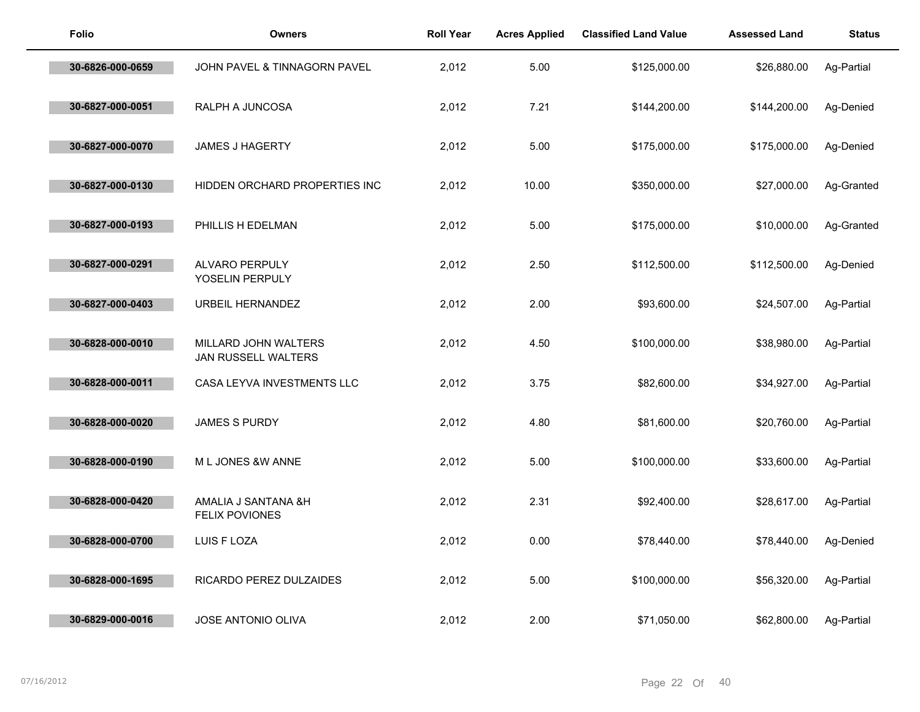| <b>Folio</b>     | <b>Owners</b>                               | <b>Roll Year</b> | <b>Acres Applied</b> | <b>Classified Land Value</b> | <b>Assessed Land</b> | <b>Status</b> |
|------------------|---------------------------------------------|------------------|----------------------|------------------------------|----------------------|---------------|
| 30-6826-000-0659 | JOHN PAVEL & TINNAGORN PAVEL                | 2,012            | 5.00                 | \$125,000.00                 | \$26,880.00          | Ag-Partial    |
| 30-6827-000-0051 | RALPH A JUNCOSA                             | 2,012            | 7.21                 | \$144,200.00                 | \$144,200.00         | Ag-Denied     |
| 30-6827-000-0070 | <b>JAMES J HAGERTY</b>                      | 2,012            | 5.00                 | \$175,000.00                 | \$175,000.00         | Ag-Denied     |
| 30-6827-000-0130 | HIDDEN ORCHARD PROPERTIES INC               | 2,012            | 10.00                | \$350,000.00                 | \$27,000.00          | Ag-Granted    |
| 30-6827-000-0193 | PHILLIS H EDELMAN                           | 2,012            | 5.00                 | \$175,000.00                 | \$10,000.00          | Ag-Granted    |
| 30-6827-000-0291 | ALVARO PERPULY<br>YOSELIN PERPULY           | 2,012            | 2.50                 | \$112,500.00                 | \$112,500.00         | Ag-Denied     |
| 30-6827-000-0403 | URBEIL HERNANDEZ                            | 2,012            | 2.00                 | \$93,600.00                  | \$24,507.00          | Ag-Partial    |
| 30-6828-000-0010 | MILLARD JOHN WALTERS<br>JAN RUSSELL WALTERS | 2,012            | 4.50                 | \$100,000.00                 | \$38,980.00          | Ag-Partial    |
| 30-6828-000-0011 | CASA LEYVA INVESTMENTS LLC                  | 2,012            | 3.75                 | \$82,600.00                  | \$34,927.00          | Ag-Partial    |
| 30-6828-000-0020 | <b>JAMES S PURDY</b>                        | 2,012            | 4.80                 | \$81,600.00                  | \$20,760.00          | Ag-Partial    |
| 30-6828-000-0190 | M L JONES &W ANNE                           | 2,012            | 5.00                 | \$100,000.00                 | \$33,600.00          | Ag-Partial    |
| 30-6828-000-0420 | AMALIA J SANTANA &H<br>FELIX POVIONES       | 2,012            | 2.31                 | \$92,400.00                  | \$28,617.00          | Ag-Partial    |
| 30-6828-000-0700 | LUIS F LOZA                                 | 2,012            | 0.00                 | \$78,440.00                  | \$78,440.00          | Ag-Denied     |
| 30-6828-000-1695 | RICARDO PEREZ DULZAIDES                     | 2,012            | 5.00                 | \$100,000.00                 | \$56,320.00          | Ag-Partial    |
| 30-6829-000-0016 | <b>JOSE ANTONIO OLIVA</b>                   | 2,012            | 2.00                 | \$71,050.00                  | \$62,800.00          | Ag-Partial    |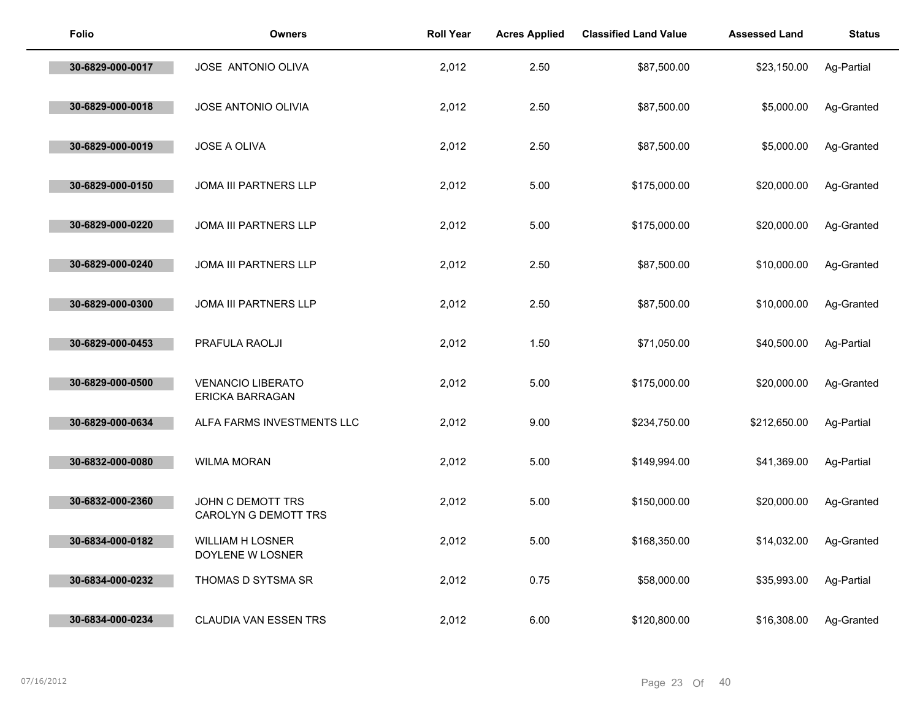| <b>Folio</b>     | <b>Owners</b>                               | <b>Roll Year</b> | <b>Acres Applied</b> | <b>Classified Land Value</b> | <b>Assessed Land</b> | <b>Status</b> |
|------------------|---------------------------------------------|------------------|----------------------|------------------------------|----------------------|---------------|
| 30-6829-000-0017 | JOSE ANTONIO OLIVA                          | 2,012            | 2.50                 | \$87,500.00                  | \$23,150.00          | Ag-Partial    |
| 30-6829-000-0018 | JOSE ANTONIO OLIVIA                         | 2,012            | 2.50                 | \$87,500.00                  | \$5,000.00           | Ag-Granted    |
| 30-6829-000-0019 | JOSE A OLIVA                                | 2,012            | 2.50                 | \$87,500.00                  | \$5,000.00           | Ag-Granted    |
| 30-6829-000-0150 | <b>JOMA III PARTNERS LLP</b>                | 2,012            | 5.00                 | \$175,000.00                 | \$20,000.00          | Ag-Granted    |
| 30-6829-000-0220 | JOMA III PARTNERS LLP                       | 2,012            | 5.00                 | \$175,000.00                 | \$20,000.00          | Ag-Granted    |
| 30-6829-000-0240 | JOMA III PARTNERS LLP                       | 2,012            | 2.50                 | \$87,500.00                  | \$10,000.00          | Ag-Granted    |
| 30-6829-000-0300 | JOMA III PARTNERS LLP                       | 2,012            | 2.50                 | \$87,500.00                  | \$10,000.00          | Ag-Granted    |
| 30-6829-000-0453 | PRAFULA RAOLJI                              | 2,012            | 1.50                 | \$71,050.00                  | \$40,500.00          | Ag-Partial    |
| 30-6829-000-0500 | <b>VENANCIO LIBERATO</b><br>ERICKA BARRAGAN | 2,012            | 5.00                 | \$175,000.00                 | \$20,000.00          | Ag-Granted    |
| 30-6829-000-0634 | ALFA FARMS INVESTMENTS LLC                  | 2,012            | 9.00                 | \$234,750.00                 | \$212,650.00         | Ag-Partial    |
| 30-6832-000-0080 | <b>WILMA MORAN</b>                          | 2,012            | 5.00                 | \$149,994.00                 | \$41,369.00          | Ag-Partial    |
| 30-6832-000-2360 | JOHN C DEMOTT TRS<br>CAROLYN G DEMOTT TRS   | 2,012            | 5.00                 | \$150,000.00                 | \$20,000.00          | Ag-Granted    |
| 30-6834-000-0182 | <b>WILLIAM H LOSNER</b><br>DOYLENE W LOSNER | 2,012            | 5.00                 | \$168,350.00                 | \$14,032.00          | Ag-Granted    |
| 30-6834-000-0232 | THOMAS D SYTSMA SR                          | 2,012            | 0.75                 | \$58,000.00                  | \$35,993.00          | Ag-Partial    |
| 30-6834-000-0234 | CLAUDIA VAN ESSEN TRS                       | 2,012            | 6.00                 | \$120,800.00                 | \$16,308.00          | Ag-Granted    |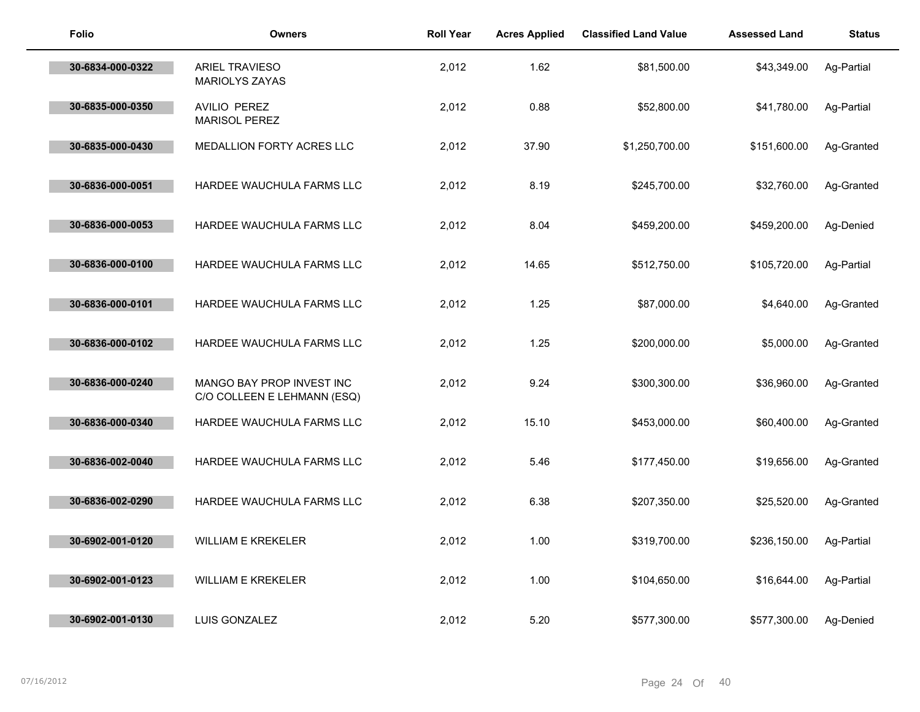| <b>Folio</b>     | <b>Owners</b>                                            | <b>Roll Year</b> | <b>Acres Applied</b> | <b>Classified Land Value</b> | <b>Assessed Land</b> | <b>Status</b> |
|------------------|----------------------------------------------------------|------------------|----------------------|------------------------------|----------------------|---------------|
| 30-6834-000-0322 | <b>ARIEL TRAVIESO</b><br><b>MARIOLYS ZAYAS</b>           | 2,012            | 1.62                 | \$81,500.00                  | \$43,349.00          | Ag-Partial    |
| 30-6835-000-0350 | AVILIO PEREZ<br><b>MARISOL PEREZ</b>                     | 2,012            | 0.88                 | \$52,800.00                  | \$41,780.00          | Ag-Partial    |
| 30-6835-000-0430 | MEDALLION FORTY ACRES LLC                                | 2,012            | 37.90                | \$1,250,700.00               | \$151,600.00         | Ag-Granted    |
| 30-6836-000-0051 | HARDEE WAUCHULA FARMS LLC                                | 2,012            | 8.19                 | \$245,700.00                 | \$32,760.00          | Ag-Granted    |
| 30-6836-000-0053 | HARDEE WAUCHULA FARMS LLC                                | 2,012            | 8.04                 | \$459,200.00                 | \$459,200.00         | Ag-Denied     |
| 30-6836-000-0100 | HARDEE WAUCHULA FARMS LLC                                | 2,012            | 14.65                | \$512,750.00                 | \$105,720.00         | Ag-Partial    |
| 30-6836-000-0101 | HARDEE WAUCHULA FARMS LLC                                | 2,012            | 1.25                 | \$87,000.00                  | \$4,640.00           | Ag-Granted    |
| 30-6836-000-0102 | HARDEE WAUCHULA FARMS LLC                                | 2,012            | 1.25                 | \$200,000.00                 | \$5,000.00           | Ag-Granted    |
| 30-6836-000-0240 | MANGO BAY PROP INVEST INC<br>C/O COLLEEN E LEHMANN (ESQ) | 2,012            | 9.24                 | \$300,300.00                 | \$36,960.00          | Ag-Granted    |
| 30-6836-000-0340 | HARDEE WAUCHULA FARMS LLC                                | 2,012            | 15.10                | \$453,000.00                 | \$60,400.00          | Ag-Granted    |
| 30-6836-002-0040 | HARDEE WAUCHULA FARMS LLC                                | 2,012            | 5.46                 | \$177,450.00                 | \$19,656.00          | Ag-Granted    |
| 30-6836-002-0290 | HARDEE WAUCHULA FARMS LLC                                | 2,012            | 6.38                 | \$207,350.00                 | \$25,520.00          | Ag-Granted    |
| 30-6902-001-0120 | <b>WILLIAM E KREKELER</b>                                | 2,012            | 1.00                 | \$319,700.00                 | \$236,150.00         | Ag-Partial    |
| 30-6902-001-0123 | <b>WILLIAM E KREKELER</b>                                | 2,012            | 1.00                 | \$104,650.00                 | \$16,644.00          | Ag-Partial    |
| 30-6902-001-0130 | <b>LUIS GONZALEZ</b>                                     | 2,012            | 5.20                 | \$577,300.00                 | \$577,300.00         | Ag-Denied     |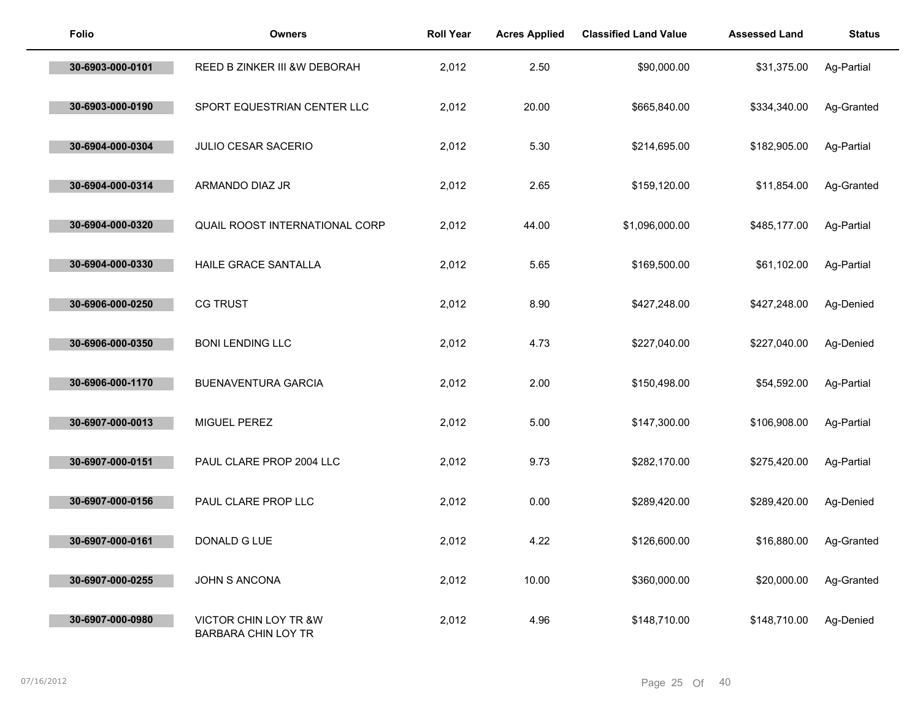| <b>Folio</b>     | <b>Owners</b>                                | <b>Roll Year</b> | <b>Acres Applied</b> | <b>Classified Land Value</b> | <b>Assessed Land</b> | <b>Status</b> |
|------------------|----------------------------------------------|------------------|----------------------|------------------------------|----------------------|---------------|
| 30-6903-000-0101 | REED B ZINKER III &W DEBORAH                 | 2,012            | 2.50                 | \$90,000.00                  | \$31,375.00          | Ag-Partial    |
| 30-6903-000-0190 | SPORT EQUESTRIAN CENTER LLC                  | 2,012            | 20.00                | \$665,840.00                 | \$334,340.00         | Ag-Granted    |
| 30-6904-000-0304 | <b>JULIO CESAR SACERIO</b>                   | 2,012            | 5.30                 | \$214,695.00                 | \$182,905.00         | Ag-Partial    |
| 30-6904-000-0314 | ARMANDO DIAZ JR                              | 2,012            | 2.65                 | \$159,120.00                 | \$11,854.00          | Ag-Granted    |
| 30-6904-000-0320 | QUAIL ROOST INTERNATIONAL CORP               | 2,012            | 44.00                | \$1,096,000.00               | \$485,177.00         | Ag-Partial    |
| 30-6904-000-0330 | HAILE GRACE SANTALLA                         | 2,012            | 5.65                 | \$169,500.00                 | \$61,102.00          | Ag-Partial    |
| 30-6906-000-0250 | <b>CG TRUST</b>                              | 2,012            | 8.90                 | \$427,248.00                 | \$427,248.00         | Ag-Denied     |
| 30-6906-000-0350 | <b>BONI LENDING LLC</b>                      | 2,012            | 4.73                 | \$227,040.00                 | \$227,040.00         | Ag-Denied     |
| 30-6906-000-1170 | <b>BUENAVENTURA GARCIA</b>                   | 2,012            | 2.00                 | \$150,498.00                 | \$54,592.00          | Ag-Partial    |
| 30-6907-000-0013 | MIGUEL PEREZ                                 | 2,012            | 5.00                 | \$147,300.00                 | \$106,908.00         | Ag-Partial    |
| 30-6907-000-0151 | PAUL CLARE PROP 2004 LLC                     | 2,012            | 9.73                 | \$282,170.00                 | \$275,420.00         | Ag-Partial    |
| 30-6907-000-0156 | PAUL CLARE PROP LLC                          | 2,012            | 0.00                 | \$289,420.00                 | \$289,420.00         | Ag-Denied     |
| 30-6907-000-0161 | DONALD G LUE                                 | 2,012            | 4.22                 | \$126,600.00                 | \$16,880.00          | Ag-Granted    |
| 30-6907-000-0255 | JOHN S ANCONA                                | 2,012            | 10.00                | \$360,000.00                 | \$20,000.00          | Ag-Granted    |
| 30-6907-000-0980 | VICTOR CHIN LOY TR &W<br>BARBARA CHIN LOY TR | 2,012            | 4.96                 | \$148,710.00                 | \$148,710.00         | Ag-Denied     |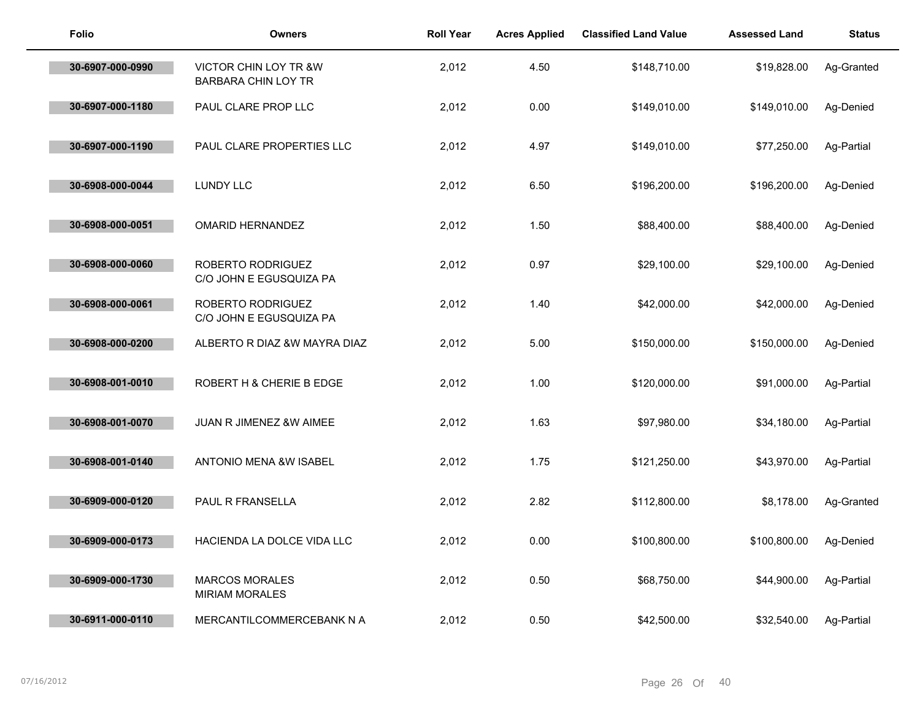| <b>Folio</b>     | <b>Owners</b>                                  | <b>Roll Year</b> | <b>Acres Applied</b> | <b>Classified Land Value</b> | <b>Assessed Land</b> | <b>Status</b> |
|------------------|------------------------------------------------|------------------|----------------------|------------------------------|----------------------|---------------|
| 30-6907-000-0990 | VICTOR CHIN LOY TR &W<br>BARBARA CHIN LOY TR   | 2,012            | 4.50                 | \$148,710.00                 | \$19,828.00          | Ag-Granted    |
| 30-6907-000-1180 | PAUL CLARE PROP LLC                            | 2,012            | 0.00                 | \$149,010.00                 | \$149,010.00         | Ag-Denied     |
| 30-6907-000-1190 | PAUL CLARE PROPERTIES LLC                      | 2,012            | 4.97                 | \$149,010.00                 | \$77,250.00          | Ag-Partial    |
| 30-6908-000-0044 | <b>LUNDY LLC</b>                               | 2,012            | 6.50                 | \$196,200.00                 | \$196,200.00         | Ag-Denied     |
| 30-6908-000-0051 | <b>OMARID HERNANDEZ</b>                        | 2,012            | 1.50                 | \$88,400.00                  | \$88,400.00          | Ag-Denied     |
| 30-6908-000-0060 | ROBERTO RODRIGUEZ<br>C/O JOHN E EGUSQUIZA PA   | 2,012            | 0.97                 | \$29,100.00                  | \$29,100.00          | Ag-Denied     |
| 30-6908-000-0061 | ROBERTO RODRIGUEZ<br>C/O JOHN E EGUSQUIZA PA   | 2,012            | 1.40                 | \$42,000.00                  | \$42,000.00          | Ag-Denied     |
| 30-6908-000-0200 | ALBERTO R DIAZ &W MAYRA DIAZ                   | 2,012            | 5.00                 | \$150,000.00                 | \$150,000.00         | Ag-Denied     |
| 30-6908-001-0010 | ROBERT H & CHERIE B EDGE                       | 2,012            | 1.00                 | \$120,000.00                 | \$91,000.00          | Ag-Partial    |
| 30-6908-001-0070 | JUAN R JIMENEZ &W AIMEE                        | 2,012            | 1.63                 | \$97,980.00                  | \$34,180.00          | Ag-Partial    |
| 30-6908-001-0140 | <b>ANTONIO MENA &amp;W ISABEL</b>              | 2,012            | 1.75                 | \$121,250.00                 | \$43,970.00          | Ag-Partial    |
| 30-6909-000-0120 | PAUL R FRANSELLA                               | 2,012            | 2.82                 | \$112,800.00                 | \$8,178.00           | Ag-Granted    |
| 30-6909-000-0173 | HACIENDA LA DOLCE VIDA LLC                     | 2,012            | 0.00                 | \$100,800.00                 | \$100,800.00         | Ag-Denied     |
| 30-6909-000-1730 | <b>MARCOS MORALES</b><br><b>MIRIAM MORALES</b> | 2,012            | 0.50                 | \$68,750.00                  | \$44,900.00          | Ag-Partial    |
| 30-6911-000-0110 | MERCANTILCOMMERCEBANK N A                      | 2,012            | 0.50                 | \$42,500.00                  | \$32,540.00          | Ag-Partial    |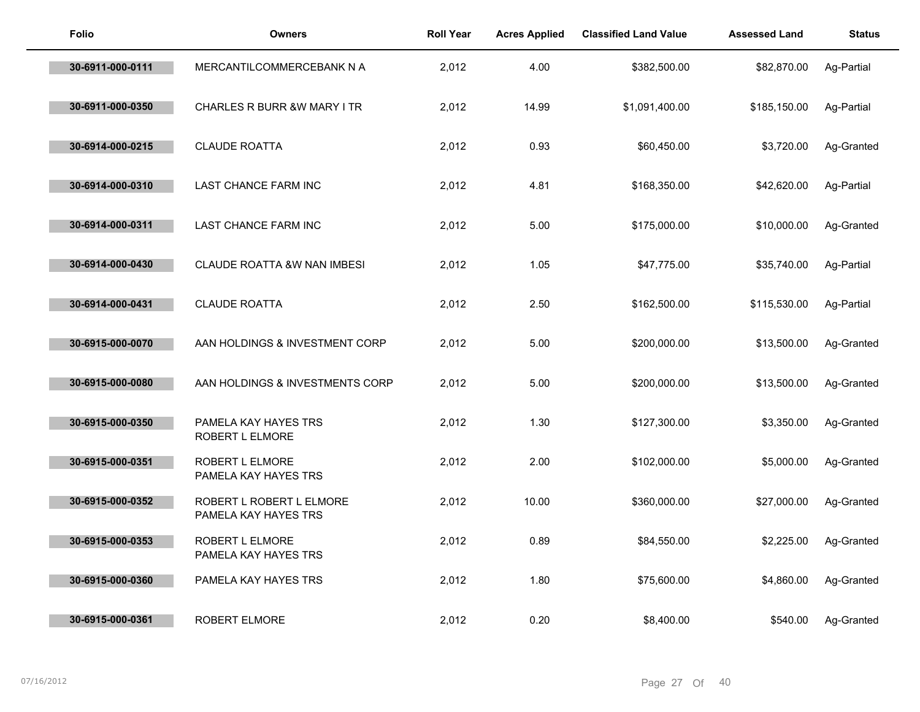| <b>Folio</b>     | <b>Owners</b>                                    | <b>Roll Year</b> | <b>Acres Applied</b> | <b>Classified Land Value</b> | <b>Assessed Land</b> | <b>Status</b> |
|------------------|--------------------------------------------------|------------------|----------------------|------------------------------|----------------------|---------------|
| 30-6911-000-0111 | MERCANTILCOMMERCEBANK N A                        | 2,012            | 4.00                 | \$382,500.00                 | \$82,870.00          | Ag-Partial    |
| 30-6911-000-0350 | CHARLES R BURR &W MARY I TR                      | 2,012            | 14.99                | \$1,091,400.00               | \$185,150.00         | Ag-Partial    |
| 30-6914-000-0215 | <b>CLAUDE ROATTA</b>                             | 2,012            | 0.93                 | \$60,450.00                  | \$3,720.00           | Ag-Granted    |
| 30-6914-000-0310 | LAST CHANCE FARM INC                             | 2,012            | 4.81                 | \$168,350.00                 | \$42,620.00          | Ag-Partial    |
| 30-6914-000-0311 | LAST CHANCE FARM INC                             | 2,012            | 5.00                 | \$175,000.00                 | \$10,000.00          | Ag-Granted    |
| 30-6914-000-0430 | <b>CLAUDE ROATTA &amp;W NAN IMBESI</b>           | 2,012            | 1.05                 | \$47,775.00                  | \$35,740.00          | Ag-Partial    |
| 30-6914-000-0431 | <b>CLAUDE ROATTA</b>                             | 2,012            | 2.50                 | \$162,500.00                 | \$115,530.00         | Ag-Partial    |
| 30-6915-000-0070 | AAN HOLDINGS & INVESTMENT CORP                   | 2,012            | 5.00                 | \$200,000.00                 | \$13,500.00          | Ag-Granted    |
| 30-6915-000-0080 | AAN HOLDINGS & INVESTMENTS CORP                  | 2,012            | 5.00                 | \$200,000.00                 | \$13,500.00          | Ag-Granted    |
| 30-6915-000-0350 | PAMELA KAY HAYES TRS<br>ROBERT L ELMORE          | 2,012            | 1.30                 | \$127,300.00                 | \$3,350.00           | Ag-Granted    |
| 30-6915-000-0351 | ROBERT L ELMORE<br>PAMELA KAY HAYES TRS          | 2,012            | 2.00                 | \$102,000.00                 | \$5,000.00           | Ag-Granted    |
| 30-6915-000-0352 | ROBERT L ROBERT L ELMORE<br>PAMELA KAY HAYES TRS | 2,012            | 10.00                | \$360,000.00                 | \$27,000.00          | Ag-Granted    |
| 30-6915-000-0353 | ROBERT L ELMORE<br>PAMELA KAY HAYES TRS          | 2,012            | 0.89                 | \$84,550.00                  | \$2,225.00           | Ag-Granted    |
| 30-6915-000-0360 | PAMELA KAY HAYES TRS                             | 2,012            | 1.80                 | \$75,600.00                  | \$4,860.00           | Ag-Granted    |
| 30-6915-000-0361 | ROBERT ELMORE                                    | 2,012            | 0.20                 | \$8,400.00                   | \$540.00             | Ag-Granted    |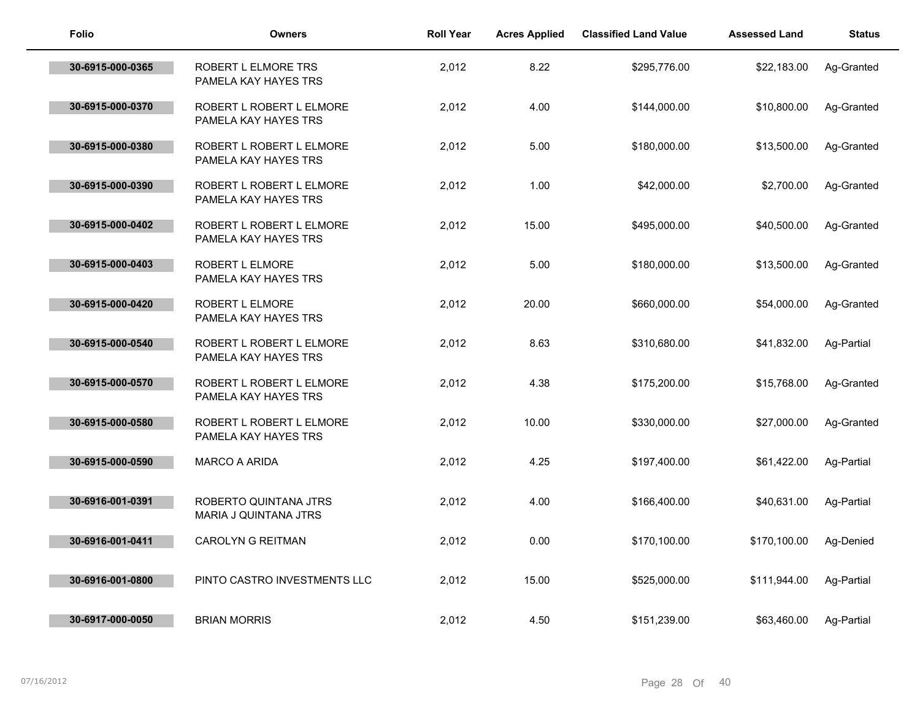| <b>Folio</b>     | <b>Owners</b>                                    | <b>Roll Year</b> | <b>Acres Applied</b> | <b>Classified Land Value</b> | <b>Assessed Land</b> | <b>Status</b> |
|------------------|--------------------------------------------------|------------------|----------------------|------------------------------|----------------------|---------------|
| 30-6915-000-0365 | ROBERT L ELMORE TRS<br>PAMELA KAY HAYES TRS      | 2,012            | 8.22                 | \$295,776.00                 | \$22,183.00          | Ag-Granted    |
| 30-6915-000-0370 | ROBERT L ROBERT L ELMORE<br>PAMELA KAY HAYES TRS | 2,012            | 4.00                 | \$144,000.00                 | \$10,800.00          | Ag-Granted    |
| 30-6915-000-0380 | ROBERT L ROBERT L ELMORE<br>PAMELA KAY HAYES TRS | 2,012            | 5.00                 | \$180,000.00                 | \$13,500.00          | Ag-Granted    |
| 30-6915-000-0390 | ROBERT L ROBERT L ELMORE<br>PAMELA KAY HAYES TRS | 2,012            | 1.00                 | \$42,000.00                  | \$2,700.00           | Ag-Granted    |
| 30-6915-000-0402 | ROBERT L ROBERT L ELMORE<br>PAMELA KAY HAYES TRS | 2,012            | 15.00                | \$495,000.00                 | \$40,500.00          | Ag-Granted    |
| 30-6915-000-0403 | ROBERT L ELMORE<br>PAMELA KAY HAYES TRS          | 2,012            | 5.00                 | \$180,000.00                 | \$13,500.00          | Ag-Granted    |
| 30-6915-000-0420 | ROBERT L ELMORE<br>PAMELA KAY HAYES TRS          | 2,012            | 20.00                | \$660,000.00                 | \$54,000.00          | Ag-Granted    |
| 30-6915-000-0540 | ROBERT L ROBERT L ELMORE<br>PAMELA KAY HAYES TRS | 2,012            | 8.63                 | \$310,680.00                 | \$41,832.00          | Ag-Partial    |
| 30-6915-000-0570 | ROBERT L ROBERT L ELMORE<br>PAMELA KAY HAYES TRS | 2,012            | 4.38                 | \$175,200.00                 | \$15,768.00          | Ag-Granted    |
| 30-6915-000-0580 | ROBERT L ROBERT L ELMORE<br>PAMELA KAY HAYES TRS | 2,012            | 10.00                | \$330,000.00                 | \$27,000.00          | Ag-Granted    |
| 30-6915-000-0590 | <b>MARCO A ARIDA</b>                             | 2,012            | 4.25                 | \$197,400.00                 | \$61,422.00          | Ag-Partial    |
| 30-6916-001-0391 | ROBERTO QUINTANA JTRS<br>MARIA J QUINTANA JTRS   | 2,012            | 4.00                 | \$166,400.00                 | \$40,631.00          | Ag-Partial    |
| 30-6916-001-0411 | <b>CAROLYN G REITMAN</b>                         | 2,012            | 0.00                 | \$170,100.00                 | \$170,100.00         | Ag-Denied     |
| 30-6916-001-0800 | PINTO CASTRO INVESTMENTS LLC                     | 2,012            | 15.00                | \$525,000.00                 | \$111,944.00         | Ag-Partial    |
| 30-6917-000-0050 | <b>BRIAN MORRIS</b>                              | 2,012            | 4.50                 | \$151,239.00                 | \$63.460.00          | Ag-Partial    |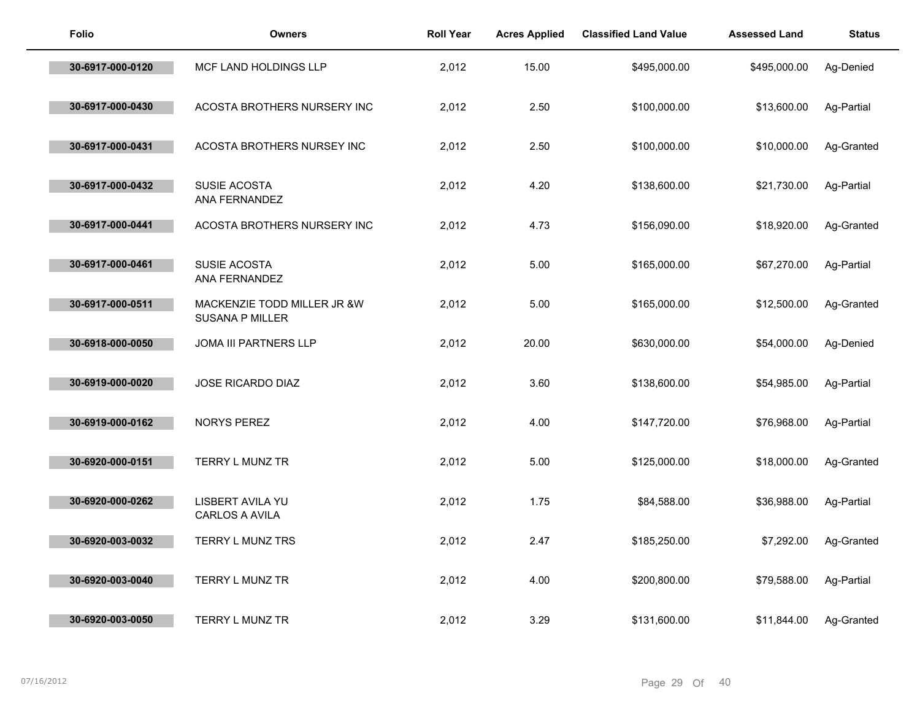| <b>Folio</b>     | <b>Owners</b>                                         | <b>Roll Year</b> | <b>Acres Applied</b> | <b>Classified Land Value</b> | <b>Assessed Land</b> | <b>Status</b> |
|------------------|-------------------------------------------------------|------------------|----------------------|------------------------------|----------------------|---------------|
| 30-6917-000-0120 | MCF LAND HOLDINGS LLP                                 | 2,012            | 15.00                | \$495,000.00                 | \$495,000.00         | Ag-Denied     |
| 30-6917-000-0430 | ACOSTA BROTHERS NURSERY INC                           | 2,012            | 2.50                 | \$100,000.00                 | \$13,600.00          | Ag-Partial    |
| 30-6917-000-0431 | ACOSTA BROTHERS NURSEY INC                            | 2,012            | 2.50                 | \$100,000.00                 | \$10,000.00          | Ag-Granted    |
| 30-6917-000-0432 | SUSIE ACOSTA<br>ANA FERNANDEZ                         | 2,012            | 4.20                 | \$138,600.00                 | \$21,730.00          | Ag-Partial    |
| 30-6917-000-0441 | ACOSTA BROTHERS NURSERY INC                           | 2,012            | 4.73                 | \$156,090.00                 | \$18,920.00          | Ag-Granted    |
| 30-6917-000-0461 | SUSIE ACOSTA<br>ANA FERNANDEZ                         | 2,012            | 5.00                 | \$165,000.00                 | \$67,270.00          | Ag-Partial    |
| 30-6917-000-0511 | MACKENZIE TODD MILLER JR &W<br><b>SUSANA P MILLER</b> | 2,012            | 5.00                 | \$165,000.00                 | \$12,500.00          | Ag-Granted    |
| 30-6918-000-0050 | JOMA III PARTNERS LLP                                 | 2,012            | 20.00                | \$630,000.00                 | \$54,000.00          | Ag-Denied     |
| 30-6919-000-0020 | JOSE RICARDO DIAZ                                     | 2,012            | 3.60                 | \$138,600.00                 | \$54,985.00          | Ag-Partial    |
| 30-6919-000-0162 | NORYS PEREZ                                           | 2,012            | 4.00                 | \$147,720.00                 | \$76,968.00          | Ag-Partial    |
| 30-6920-000-0151 | TERRY L MUNZ TR                                       | 2,012            | 5.00                 | \$125,000.00                 | \$18,000.00          | Ag-Granted    |
| 30-6920-000-0262 | LISBERT AVILA YU<br>CARLOS A AVILA                    | 2,012            | 1.75                 | \$84,588.00                  | \$36,988.00          | Ag-Partial    |
| 30-6920-003-0032 | TERRY L MUNZ TRS                                      | 2,012            | 2.47                 | \$185,250.00                 | \$7,292.00           | Ag-Granted    |
| 30-6920-003-0040 | TERRY L MUNZ TR                                       | 2,012            | 4.00                 | \$200,800.00                 | \$79,588.00          | Ag-Partial    |
| 30-6920-003-0050 | TERRY L MUNZ TR                                       | 2,012            | 3.29                 | \$131,600.00                 | \$11,844.00          | Ag-Granted    |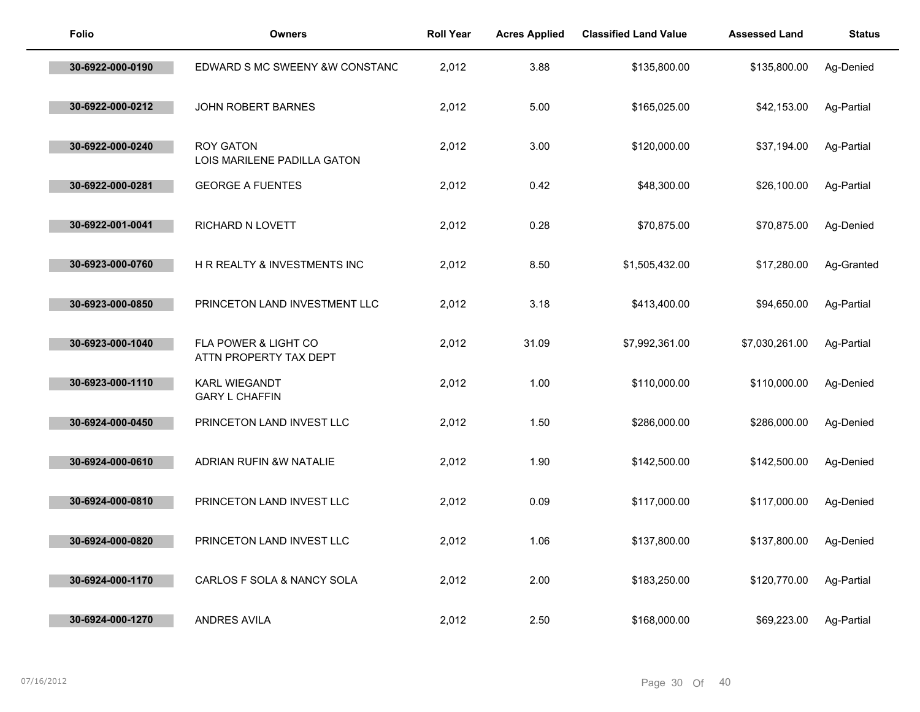| <b>Folio</b>     | <b>Owners</b>                                   | <b>Roll Year</b> | <b>Acres Applied</b> | <b>Classified Land Value</b> | <b>Assessed Land</b> | <b>Status</b> |
|------------------|-------------------------------------------------|------------------|----------------------|------------------------------|----------------------|---------------|
| 30-6922-000-0190 | EDWARD S MC SWEENY &W CONSTANC                  | 2,012            | 3.88                 | \$135,800.00                 | \$135,800.00         | Ag-Denied     |
| 30-6922-000-0212 | JOHN ROBERT BARNES                              | 2,012            | 5.00                 | \$165,025.00                 | \$42,153.00          | Ag-Partial    |
| 30-6922-000-0240 | <b>ROY GATON</b><br>LOIS MARILENE PADILLA GATON | 2,012            | 3.00                 | \$120,000.00                 | \$37,194.00          | Ag-Partial    |
| 30-6922-000-0281 | <b>GEORGE A FUENTES</b>                         | 2,012            | 0.42                 | \$48,300.00                  | \$26,100.00          | Ag-Partial    |
| 30-6922-001-0041 | RICHARD N LOVETT                                | 2,012            | 0.28                 | \$70,875.00                  | \$70,875.00          | Ag-Denied     |
| 30-6923-000-0760 | H R REALTY & INVESTMENTS INC                    | 2,012            | 8.50                 | \$1,505,432.00               | \$17,280.00          | Ag-Granted    |
| 30-6923-000-0850 | PRINCETON LAND INVESTMENT LLC                   | 2,012            | 3.18                 | \$413,400.00                 | \$94,650.00          | Ag-Partial    |
| 30-6923-000-1040 | FLA POWER & LIGHT CO<br>ATTN PROPERTY TAX DEPT  | 2,012            | 31.09                | \$7,992,361.00               | \$7,030,261.00       | Ag-Partial    |
| 30-6923-000-1110 | <b>KARL WIEGANDT</b><br><b>GARY L CHAFFIN</b>   | 2,012            | 1.00                 | \$110,000.00                 | \$110,000.00         | Ag-Denied     |
| 30-6924-000-0450 | PRINCETON LAND INVEST LLC                       | 2,012            | 1.50                 | \$286,000.00                 | \$286,000.00         | Ag-Denied     |
| 30-6924-000-0610 | ADRIAN RUFIN &W NATALIE                         | 2,012            | 1.90                 | \$142,500.00                 | \$142,500.00         | Ag-Denied     |
| 30-6924-000-0810 | PRINCETON LAND INVEST LLC                       | 2,012            | 0.09                 | \$117,000.00                 | \$117,000.00         | Ag-Denied     |
| 30-6924-000-0820 | PRINCETON LAND INVEST LLC                       | 2,012            | 1.06                 | \$137,800.00                 | \$137,800.00         | Ag-Denied     |
| 30-6924-000-1170 | CARLOS F SOLA & NANCY SOLA                      | 2,012            | 2.00                 | \$183,250.00                 | \$120,770.00         | Ag-Partial    |
| 30-6924-000-1270 | <b>ANDRES AVILA</b>                             | 2,012            | 2.50                 | \$168,000.00                 | \$69,223.00          | Ag-Partial    |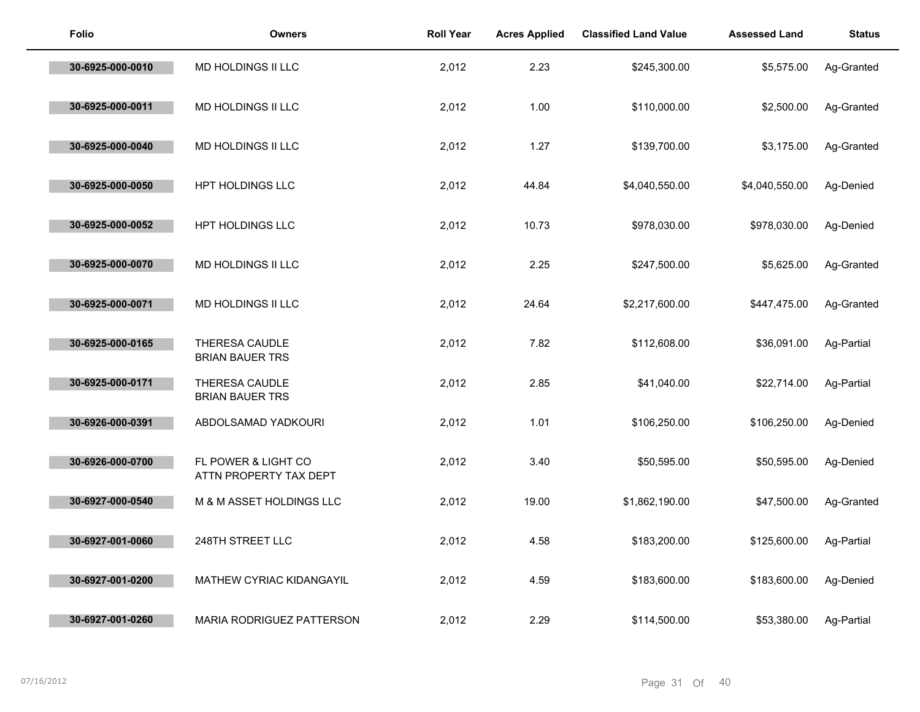| <b>Folio</b>     | <b>Owners</b>                                 | <b>Roll Year</b> | <b>Acres Applied</b> | <b>Classified Land Value</b> | <b>Assessed Land</b> | <b>Status</b> |
|------------------|-----------------------------------------------|------------------|----------------------|------------------------------|----------------------|---------------|
| 30-6925-000-0010 | MD HOLDINGS II LLC                            | 2,012            | 2.23                 | \$245,300.00                 | \$5,575.00           | Ag-Granted    |
| 30-6925-000-0011 | MD HOLDINGS II LLC                            | 2,012            | 1.00                 | \$110,000.00                 | \$2,500.00           | Ag-Granted    |
| 30-6925-000-0040 | MD HOLDINGS II LLC                            | 2,012            | 1.27                 | \$139,700.00                 | \$3,175.00           | Ag-Granted    |
| 30-6925-000-0050 | HPT HOLDINGS LLC                              | 2,012            | 44.84                | \$4,040,550.00               | \$4,040,550.00       | Ag-Denied     |
| 30-6925-000-0052 | HPT HOLDINGS LLC                              | 2,012            | 10.73                | \$978,030.00                 | \$978,030.00         | Ag-Denied     |
| 30-6925-000-0070 | MD HOLDINGS II LLC                            | 2,012            | 2.25                 | \$247,500.00                 | \$5,625.00           | Ag-Granted    |
| 30-6925-000-0071 | MD HOLDINGS II LLC                            | 2,012            | 24.64                | \$2,217,600.00               | \$447,475.00         | Ag-Granted    |
| 30-6925-000-0165 | THERESA CAUDLE<br><b>BRIAN BAUER TRS</b>      | 2,012            | 7.82                 | \$112,608.00                 | \$36,091.00          | Ag-Partial    |
| 30-6925-000-0171 | THERESA CAUDLE<br><b>BRIAN BAUER TRS</b>      | 2,012            | 2.85                 | \$41,040.00                  | \$22,714.00          | Ag-Partial    |
| 30-6926-000-0391 | ABDOLSAMAD YADKOURI                           | 2,012            | 1.01                 | \$106,250.00                 | \$106,250.00         | Ag-Denied     |
| 30-6926-000-0700 | FL POWER & LIGHT CO<br>ATTN PROPERTY TAX DEPT | 2,012            | 3.40                 | \$50,595.00                  | \$50,595.00          | Ag-Denied     |
| 30-6927-000-0540 | M & M ASSET HOLDINGS LLC                      | 2,012            | 19.00                | \$1,862,190.00               | \$47,500.00          | Ag-Granted    |
| 30-6927-001-0060 | 248TH STREET LLC                              | 2,012            | 4.58                 | \$183,200.00                 | \$125,600.00         | Ag-Partial    |
| 30-6927-001-0200 | MATHEW CYRIAC KIDANGAYIL                      | 2,012            | 4.59                 | \$183,600.00                 | \$183,600.00         | Ag-Denied     |
| 30-6927-001-0260 | <b>MARIA RODRIGUEZ PATTERSON</b>              | 2,012            | 2.29                 | \$114,500.00                 | \$53,380.00          | Ag-Partial    |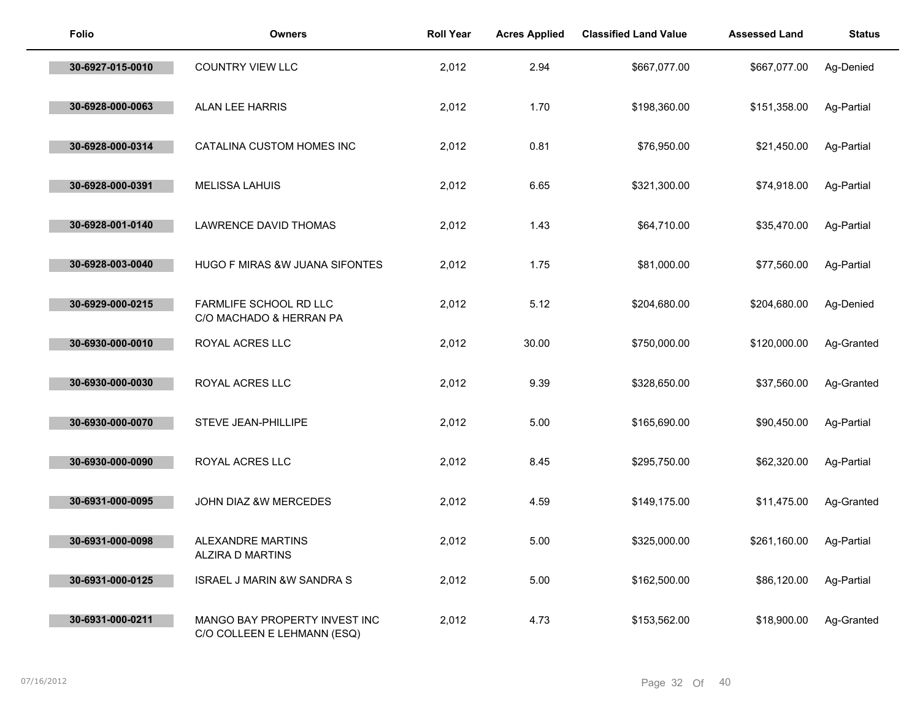| <b>Folio</b>     | <b>Owners</b>                                                | <b>Roll Year</b> | <b>Acres Applied</b> | <b>Classified Land Value</b> | <b>Assessed Land</b> | <b>Status</b> |
|------------------|--------------------------------------------------------------|------------------|----------------------|------------------------------|----------------------|---------------|
| 30-6927-015-0010 | <b>COUNTRY VIEW LLC</b>                                      | 2,012            | 2.94                 | \$667,077.00                 | \$667,077.00         | Ag-Denied     |
| 30-6928-000-0063 | ALAN LEE HARRIS                                              | 2,012            | 1.70                 | \$198,360.00                 | \$151,358.00         | Ag-Partial    |
| 30-6928-000-0314 | CATALINA CUSTOM HOMES INC                                    | 2,012            | 0.81                 | \$76,950.00                  | \$21,450.00          | Ag-Partial    |
| 30-6928-000-0391 | <b>MELISSA LAHUIS</b>                                        | 2,012            | 6.65                 | \$321,300.00                 | \$74,918.00          | Ag-Partial    |
| 30-6928-001-0140 | LAWRENCE DAVID THOMAS                                        | 2,012            | 1.43                 | \$64,710.00                  | \$35,470.00          | Ag-Partial    |
| 30-6928-003-0040 | HUGO F MIRAS &W JUANA SIFONTES                               | 2,012            | 1.75                 | \$81,000.00                  | \$77,560.00          | Ag-Partial    |
| 30-6929-000-0215 | FARMLIFE SCHOOL RD LLC<br>C/O MACHADO & HERRAN PA            | 2,012            | 5.12                 | \$204,680.00                 | \$204,680.00         | Ag-Denied     |
| 30-6930-000-0010 | ROYAL ACRES LLC                                              | 2,012            | 30.00                | \$750,000.00                 | \$120,000.00         | Ag-Granted    |
| 30-6930-000-0030 | ROYAL ACRES LLC                                              | 2,012            | 9.39                 | \$328,650.00                 | \$37,560.00          | Ag-Granted    |
| 30-6930-000-0070 | STEVE JEAN-PHILLIPE                                          | 2,012            | 5.00                 | \$165,690.00                 | \$90,450.00          | Ag-Partial    |
| 30-6930-000-0090 | ROYAL ACRES LLC                                              | 2,012            | 8.45                 | \$295,750.00                 | \$62,320.00          | Ag-Partial    |
| 30-6931-000-0095 | JOHN DIAZ &W MERCEDES                                        | 2,012            | 4.59                 | \$149,175.00                 | \$11,475.00          | Ag-Granted    |
| 30-6931-000-0098 | ALEXANDRE MARTINS<br>ALZIRA D MARTINS                        | 2,012            | 5.00                 | \$325,000.00                 | \$261,160.00         | Ag-Partial    |
| 30-6931-000-0125 | <b>ISRAEL J MARIN &amp;W SANDRA S</b>                        | 2,012            | 5.00                 | \$162,500.00                 | \$86,120.00          | Ag-Partial    |
| 30-6931-000-0211 | MANGO BAY PROPERTY INVEST INC<br>C/O COLLEEN E LEHMANN (ESQ) | 2,012            | 4.73                 | \$153,562.00                 | \$18,900.00          | Ag-Granted    |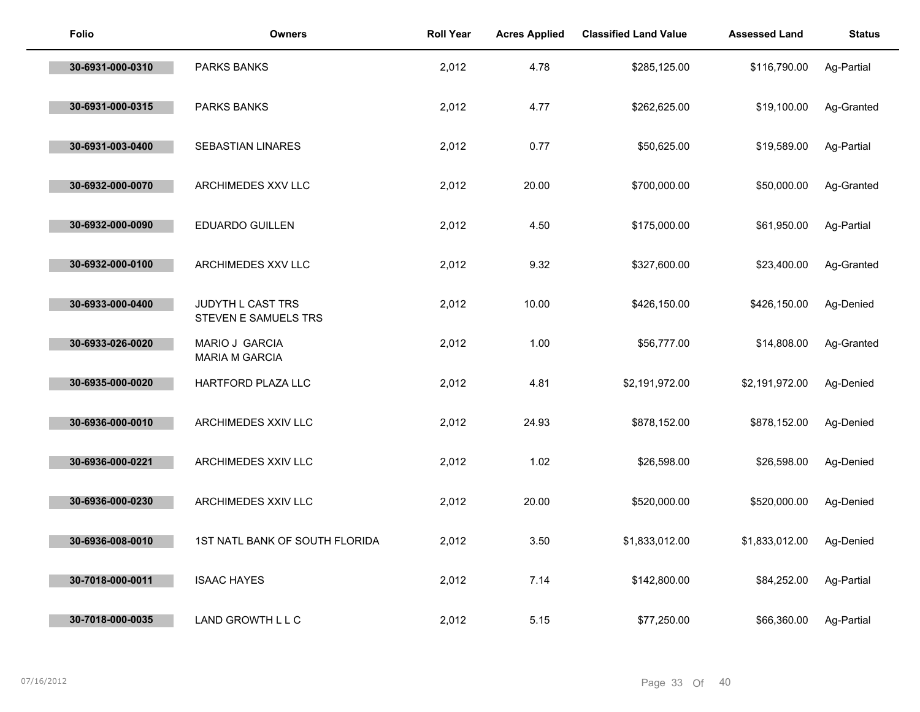| <b>Folio</b>     | <b>Owners</b>                             | <b>Roll Year</b> | <b>Acres Applied</b> | <b>Classified Land Value</b> | <b>Assessed Land</b> | <b>Status</b> |
|------------------|-------------------------------------------|------------------|----------------------|------------------------------|----------------------|---------------|
| 30-6931-000-0310 | <b>PARKS BANKS</b>                        | 2,012            | 4.78                 | \$285,125.00                 | \$116,790.00         | Ag-Partial    |
| 30-6931-000-0315 | <b>PARKS BANKS</b>                        | 2,012            | 4.77                 | \$262,625.00                 | \$19,100.00          | Ag-Granted    |
| 30-6931-003-0400 | SEBASTIAN LINARES                         | 2,012            | 0.77                 | \$50,625.00                  | \$19,589.00          | Ag-Partial    |
| 30-6932-000-0070 | ARCHIMEDES XXV LLC                        | 2,012            | 20.00                | \$700,000.00                 | \$50,000.00          | Ag-Granted    |
| 30-6932-000-0090 | <b>EDUARDO GUILLEN</b>                    | 2,012            | 4.50                 | \$175,000.00                 | \$61,950.00          | Ag-Partial    |
| 30-6932-000-0100 | ARCHIMEDES XXV LLC                        | 2,012            | 9.32                 | \$327,600.00                 | \$23,400.00          | Ag-Granted    |
| 30-6933-000-0400 | JUDYTH L CAST TRS<br>STEVEN E SAMUELS TRS | 2,012            | 10.00                | \$426,150.00                 | \$426,150.00         | Ag-Denied     |
| 30-6933-026-0020 | MARIO J GARCIA<br>MARIA M GARCIA          | 2,012            | 1.00                 | \$56,777.00                  | \$14,808.00          | Ag-Granted    |
| 30-6935-000-0020 | HARTFORD PLAZA LLC                        | 2,012            | 4.81                 | \$2,191,972.00               | \$2,191,972.00       | Ag-Denied     |
| 30-6936-000-0010 | ARCHIMEDES XXIV LLC                       | 2,012            | 24.93                | \$878,152.00                 | \$878,152.00         | Ag-Denied     |
| 30-6936-000-0221 | ARCHIMEDES XXIV LLC                       | 2,012            | 1.02                 | \$26,598.00                  | \$26,598.00          | Ag-Denied     |
| 30-6936-000-0230 | ARCHIMEDES XXIV LLC                       | 2,012            | 20.00                | \$520,000.00                 | \$520,000.00         | Ag-Denied     |
| 30-6936-008-0010 | 1ST NATL BANK OF SOUTH FLORIDA            | 2,012            | 3.50                 | \$1,833,012.00               | \$1,833,012.00       | Ag-Denied     |
| 30-7018-000-0011 | <b>ISAAC HAYES</b>                        | 2,012            | 7.14                 | \$142,800.00                 | \$84,252.00          | Ag-Partial    |
| 30-7018-000-0035 | LAND GROWTH L L C                         | 2,012            | 5.15                 | \$77,250.00                  | \$66,360.00          | Ag-Partial    |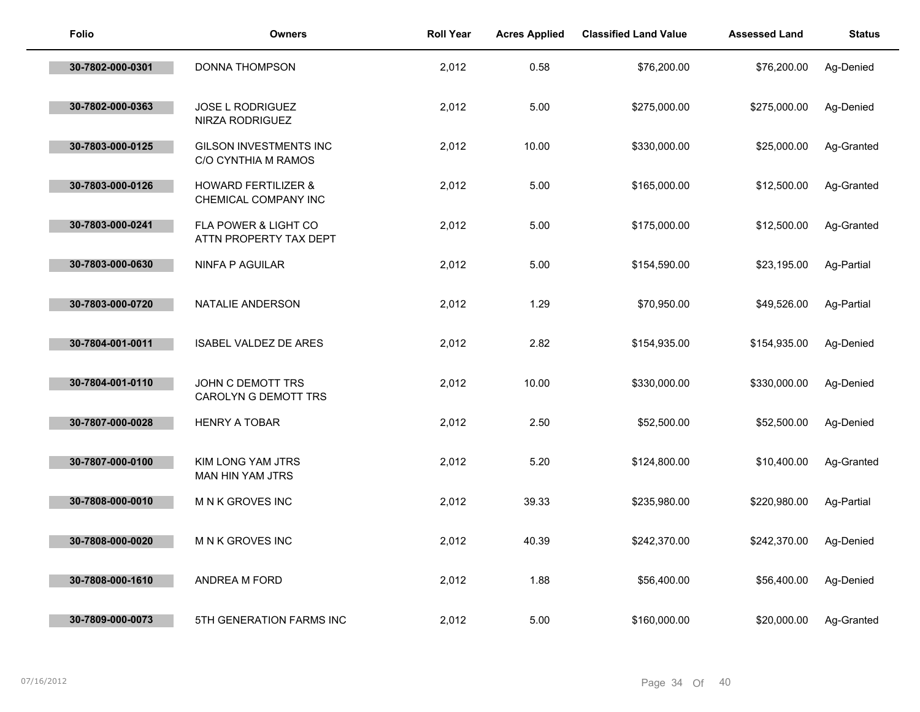| <b>Folio</b>     | <b>Owners</b>                                          | <b>Roll Year</b> | <b>Acres Applied</b> | <b>Classified Land Value</b> | <b>Assessed Land</b> | <b>Status</b> |
|------------------|--------------------------------------------------------|------------------|----------------------|------------------------------|----------------------|---------------|
| 30-7802-000-0301 | DONNA THOMPSON                                         | 2,012            | 0.58                 | \$76,200.00                  | \$76,200.00          | Ag-Denied     |
| 30-7802-000-0363 | <b>JOSE L RODRIGUEZ</b><br>NIRZA RODRIGUEZ             | 2,012            | 5.00                 | \$275,000.00                 | \$275,000.00         | Ag-Denied     |
| 30-7803-000-0125 | <b>GILSON INVESTMENTS INC</b><br>C/O CYNTHIA M RAMOS   | 2,012            | 10.00                | \$330,000.00                 | \$25,000.00          | Ag-Granted    |
| 30-7803-000-0126 | <b>HOWARD FERTILIZER &amp;</b><br>CHEMICAL COMPANY INC | 2,012            | 5.00                 | \$165,000.00                 | \$12,500.00          | Ag-Granted    |
| 30-7803-000-0241 | FLA POWER & LIGHT CO<br>ATTN PROPERTY TAX DEPT         | 2,012            | 5.00                 | \$175,000.00                 | \$12,500.00          | Ag-Granted    |
| 30-7803-000-0630 | NINFA P AGUILAR                                        | 2,012            | 5.00                 | \$154,590.00                 | \$23,195.00          | Ag-Partial    |
| 30-7803-000-0720 | NATALIE ANDERSON                                       | 2,012            | 1.29                 | \$70,950.00                  | \$49,526.00          | Ag-Partial    |
| 30-7804-001-0011 | <b>ISABEL VALDEZ DE ARES</b>                           | 2,012            | 2.82                 | \$154,935.00                 | \$154,935.00         | Ag-Denied     |
| 30-7804-001-0110 | JOHN C DEMOTT TRS<br><b>CAROLYN G DEMOTT TRS</b>       | 2,012            | 10.00                | \$330,000.00                 | \$330,000.00         | Ag-Denied     |
| 30-7807-000-0028 | <b>HENRY A TOBAR</b>                                   | 2,012            | 2.50                 | \$52,500.00                  | \$52,500.00          | Ag-Denied     |
| 30-7807-000-0100 | KIM LONG YAM JTRS<br>MAN HIN YAM JTRS                  | 2,012            | 5.20                 | \$124,800.00                 | \$10,400.00          | Ag-Granted    |
| 30-7808-000-0010 | M N K GROVES INC                                       | 2,012            | 39.33                | \$235,980.00                 | \$220,980.00         | Ag-Partial    |
| 30-7808-000-0020 | M N K GROVES INC                                       | 2,012            | 40.39                | \$242,370.00                 | \$242,370.00         | Ag-Denied     |
| 30-7808-000-1610 | ANDREA M FORD                                          | 2,012            | 1.88                 | \$56,400.00                  | \$56,400.00          | Ag-Denied     |
| 30-7809-000-0073 | 5TH GENERATION FARMS INC                               | 2,012            | 5.00                 | \$160,000.00                 | \$20,000.00          | Ag-Granted    |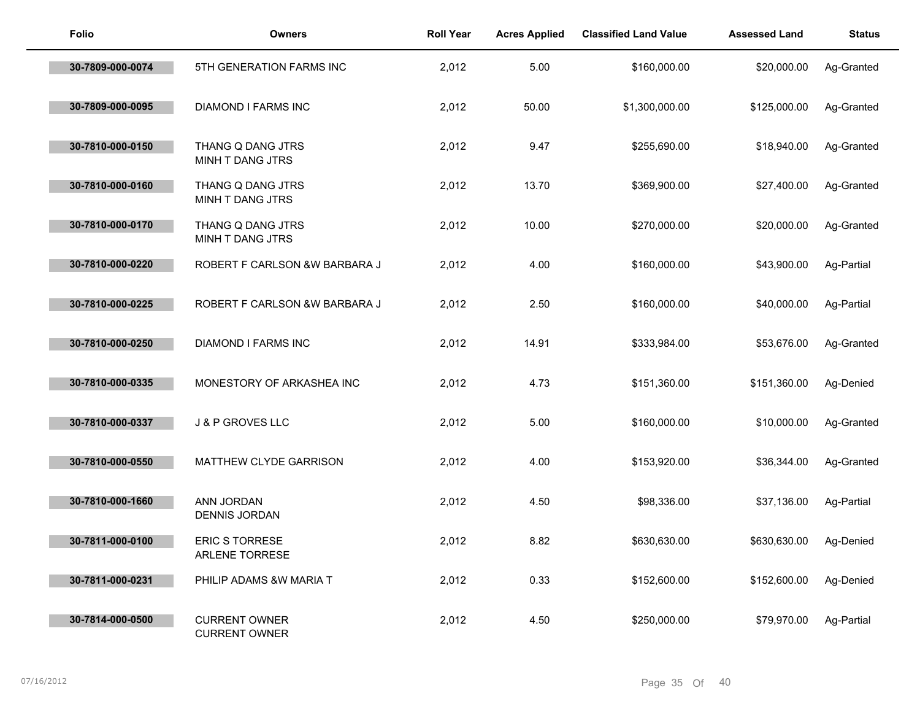| <b>Folio</b>     | <b>Owners</b>                                | <b>Roll Year</b> | <b>Acres Applied</b> | <b>Classified Land Value</b> | <b>Assessed Land</b> | <b>Status</b> |
|------------------|----------------------------------------------|------------------|----------------------|------------------------------|----------------------|---------------|
| 30-7809-000-0074 | 5TH GENERATION FARMS INC                     | 2,012            | 5.00                 | \$160,000.00                 | \$20,000.00          | Ag-Granted    |
| 30-7809-000-0095 | <b>DIAMOND I FARMS INC</b>                   | 2,012            | 50.00                | \$1,300,000.00               | \$125,000.00         | Ag-Granted    |
| 30-7810-000-0150 | THANG Q DANG JTRS<br>MINH T DANG JTRS        | 2,012            | 9.47                 | \$255,690.00                 | \$18,940.00          | Ag-Granted    |
| 30-7810-000-0160 | THANG Q DANG JTRS<br>MINH T DANG JTRS        | 2,012            | 13.70                | \$369,900.00                 | \$27,400.00          | Ag-Granted    |
| 30-7810-000-0170 | THANG Q DANG JTRS<br>MINH T DANG JTRS        | 2,012            | 10.00                | \$270,000.00                 | \$20,000.00          | Ag-Granted    |
| 30-7810-000-0220 | ROBERT F CARLSON &W BARBARA J                | 2,012            | 4.00                 | \$160,000.00                 | \$43,900.00          | Ag-Partial    |
| 30-7810-000-0225 | ROBERT F CARLSON &W BARBARA J                | 2,012            | 2.50                 | \$160,000.00                 | \$40,000.00          | Ag-Partial    |
| 30-7810-000-0250 | <b>DIAMOND I FARMS INC</b>                   | 2,012            | 14.91                | \$333,984.00                 | \$53,676.00          | Ag-Granted    |
| 30-7810-000-0335 | MONESTORY OF ARKASHEA INC                    | 2,012            | 4.73                 | \$151,360.00                 | \$151,360.00         | Ag-Denied     |
| 30-7810-000-0337 | J & P GROVES LLC                             | 2,012            | 5.00                 | \$160,000.00                 | \$10,000.00          | Ag-Granted    |
| 30-7810-000-0550 | MATTHEW CLYDE GARRISON                       | 2,012            | 4.00                 | \$153,920.00                 | \$36,344.00          | Ag-Granted    |
| 30-7810-000-1660 | ANN JORDAN<br><b>DENNIS JORDAN</b>           | 2,012            | 4.50                 | \$98,336.00                  | \$37,136.00          | Ag-Partial    |
| 30-7811-000-0100 | ERIC S TORRESE<br>ARLENE TORRESE             | 2,012            | 8.82                 | \$630,630.00                 | \$630,630.00         | Ag-Denied     |
| 30-7811-000-0231 | PHILIP ADAMS &W MARIA T                      | 2,012            | 0.33                 | \$152,600.00                 | \$152,600.00         | Ag-Denied     |
| 30-7814-000-0500 | <b>CURRENT OWNER</b><br><b>CURRENT OWNER</b> | 2,012            | 4.50                 | \$250,000.00                 | \$79,970.00          | Ag-Partial    |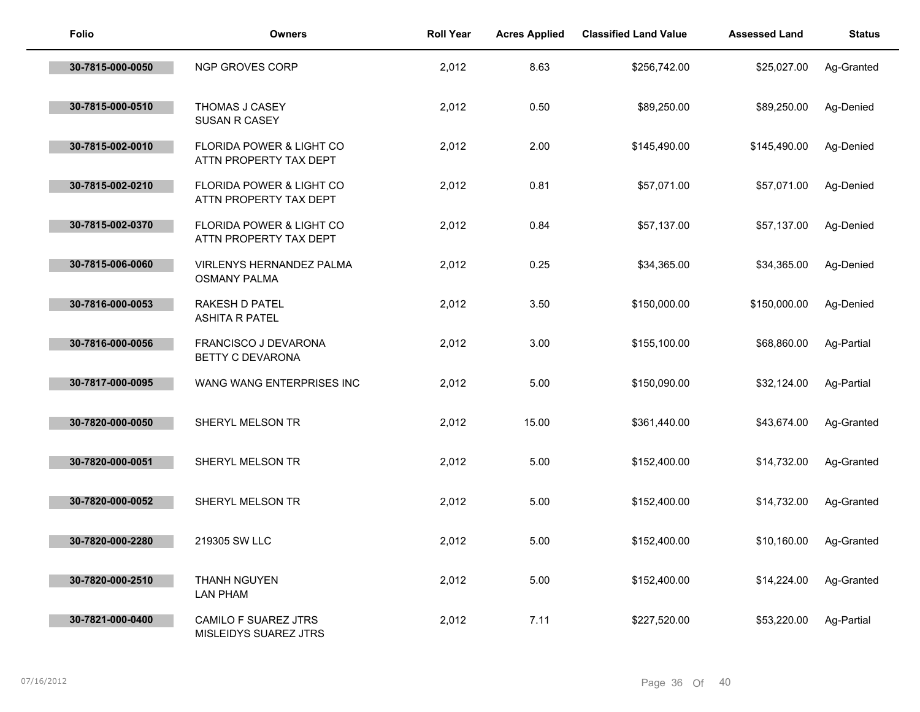| <b>Folio</b>     | <b>Owners</b>                                                 | <b>Roll Year</b> | <b>Acres Applied</b> | <b>Classified Land Value</b> | <b>Assessed Land</b> | <b>Status</b> |
|------------------|---------------------------------------------------------------|------------------|----------------------|------------------------------|----------------------|---------------|
| 30-7815-000-0050 | NGP GROVES CORP                                               | 2,012            | 8.63                 | \$256,742.00                 | \$25,027.00          | Ag-Granted    |
| 30-7815-000-0510 | THOMAS J CASEY<br>SUSAN R CASEY                               | 2,012            | 0.50                 | \$89,250.00                  | \$89,250.00          | Ag-Denied     |
| 30-7815-002-0010 | FLORIDA POWER & LIGHT CO<br>ATTN PROPERTY TAX DEPT            | 2,012            | 2.00                 | \$145,490.00                 | \$145,490.00         | Ag-Denied     |
| 30-7815-002-0210 | <b>FLORIDA POWER &amp; LIGHT CO</b><br>ATTN PROPERTY TAX DEPT | 2,012            | 0.81                 | \$57,071.00                  | \$57,071.00          | Ag-Denied     |
| 30-7815-002-0370 | FLORIDA POWER & LIGHT CO<br>ATTN PROPERTY TAX DEPT            | 2,012            | 0.84                 | \$57,137.00                  | \$57,137.00          | Ag-Denied     |
| 30-7815-006-0060 | VIRLENYS HERNANDEZ PALMA<br><b>OSMANY PALMA</b>               | 2,012            | 0.25                 | \$34,365.00                  | \$34,365.00          | Ag-Denied     |
| 30-7816-000-0053 | RAKESH D PATEL<br><b>ASHITA R PATEL</b>                       | 2,012            | 3.50                 | \$150,000.00                 | \$150,000.00         | Ag-Denied     |
| 30-7816-000-0056 | FRANCISCO J DEVARONA<br>BETTY C DEVARONA                      | 2,012            | 3.00                 | \$155,100.00                 | \$68,860.00          | Ag-Partial    |
| 30-7817-000-0095 | WANG WANG ENTERPRISES INC                                     | 2,012            | 5.00                 | \$150,090.00                 | \$32,124.00          | Ag-Partial    |
| 30-7820-000-0050 | SHERYL MELSON TR                                              | 2,012            | 15.00                | \$361,440.00                 | \$43,674.00          | Ag-Granted    |
| 30-7820-000-0051 | SHERYL MELSON TR                                              | 2,012            | 5.00                 | \$152,400.00                 | \$14,732.00          | Ag-Granted    |
| 30-7820-000-0052 | SHERYL MELSON TR                                              | 2,012            | 5.00                 | \$152,400.00                 | \$14,732.00          | Ag-Granted    |
| 30-7820-000-2280 | 219305 SW LLC                                                 | 2,012            | 5.00                 | \$152,400.00                 | \$10,160.00          | Ag-Granted    |
| 30-7820-000-2510 | THANH NGUYEN<br><b>LAN PHAM</b>                               | 2,012            | 5.00                 | \$152,400.00                 | \$14,224.00          | Ag-Granted    |
| 30-7821-000-0400 | CAMILO F SUAREZ JTRS<br>MISLEIDYS SUAREZ JTRS                 | 2,012            | 7.11                 | \$227,520.00                 | \$53,220.00          | Ag-Partial    |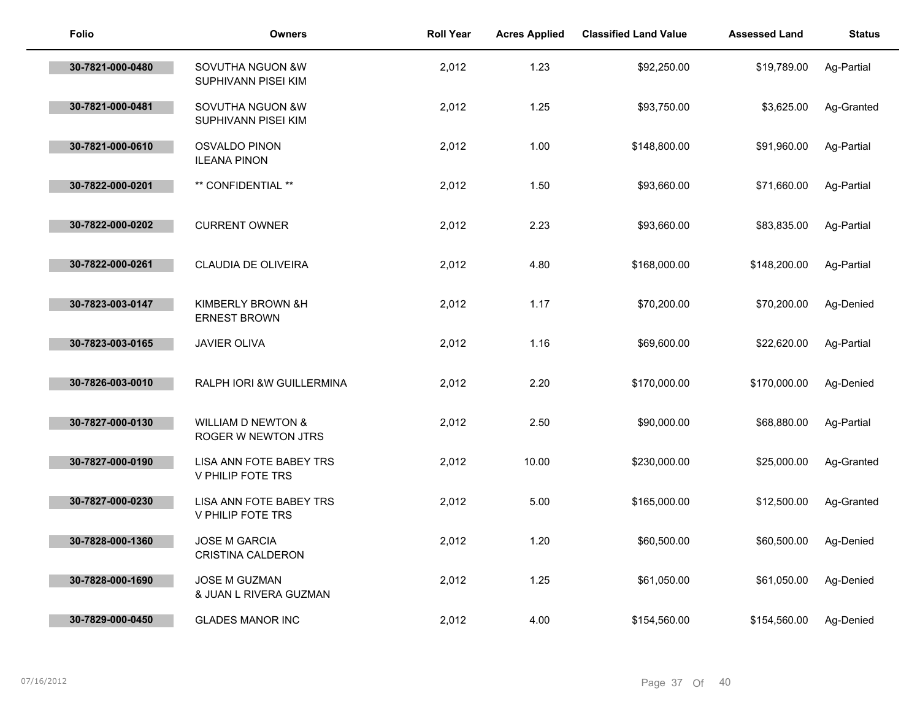| <b>Folio</b>     | <b>Owners</b>                                        | <b>Roll Year</b> | <b>Acres Applied</b> | <b>Classified Land Value</b> | <b>Assessed Land</b> | <b>Status</b> |
|------------------|------------------------------------------------------|------------------|----------------------|------------------------------|----------------------|---------------|
| 30-7821-000-0480 | SOVUTHA NGUON &W<br>SUPHIVANN PISEI KIM              | 2,012            | 1.23                 | \$92,250.00                  | \$19,789.00          | Ag-Partial    |
| 30-7821-000-0481 | SOVUTHA NGUON &W<br>SUPHIVANN PISEI KIM              | 2,012            | 1.25                 | \$93,750.00                  | \$3,625.00           | Ag-Granted    |
| 30-7821-000-0610 | OSVALDO PINON<br><b>ILEANA PINON</b>                 | 2,012            | 1.00                 | \$148,800.00                 | \$91,960.00          | Ag-Partial    |
| 30-7822-000-0201 | ** CONFIDENTIAL **                                   | 2,012            | 1.50                 | \$93,660.00                  | \$71,660.00          | Ag-Partial    |
| 30-7822-000-0202 | <b>CURRENT OWNER</b>                                 | 2,012            | 2.23                 | \$93,660.00                  | \$83,835.00          | Ag-Partial    |
| 30-7822-000-0261 | CLAUDIA DE OLIVEIRA                                  | 2,012            | 4.80                 | \$168,000.00                 | \$148,200.00         | Ag-Partial    |
| 30-7823-003-0147 | KIMBERLY BROWN & H<br><b>ERNEST BROWN</b>            | 2,012            | 1.17                 | \$70,200.00                  | \$70,200.00          | Ag-Denied     |
| 30-7823-003-0165 | <b>JAVIER OLIVA</b>                                  | 2,012            | 1.16                 | \$69,600.00                  | \$22,620.00          | Ag-Partial    |
| 30-7826-003-0010 | RALPH IORI &W GUILLERMINA                            | 2,012            | 2.20                 | \$170,000.00                 | \$170,000.00         | Ag-Denied     |
| 30-7827-000-0130 | <b>WILLIAM D NEWTON &amp;</b><br>ROGER W NEWTON JTRS | 2,012            | 2.50                 | \$90,000.00                  | \$68,880.00          | Ag-Partial    |
| 30-7827-000-0190 | LISA ANN FOTE BABEY TRS<br>V PHILIP FOTE TRS         | 2,012            | 10.00                | \$230,000.00                 | \$25,000.00          | Ag-Granted    |
| 30-7827-000-0230 | LISA ANN FOTE BABEY TRS<br>V PHILIP FOTE TRS         | 2,012            | 5.00                 | \$165,000.00                 | \$12,500.00          | Ag-Granted    |
| 30-7828-000-1360 | <b>JOSE M GARCIA</b><br><b>CRISTINA CALDERON</b>     | 2,012            | 1.20                 | \$60,500.00                  | \$60,500.00          | Ag-Denied     |
| 30-7828-000-1690 | <b>JOSE M GUZMAN</b><br>& JUAN L RIVERA GUZMAN       | 2,012            | 1.25                 | \$61,050.00                  | \$61,050.00          | Ag-Denied     |
| 30-7829-000-0450 | <b>GLADES MANOR INC</b>                              | 2,012            | 4.00                 | \$154,560.00                 | \$154,560.00         | Ag-Denied     |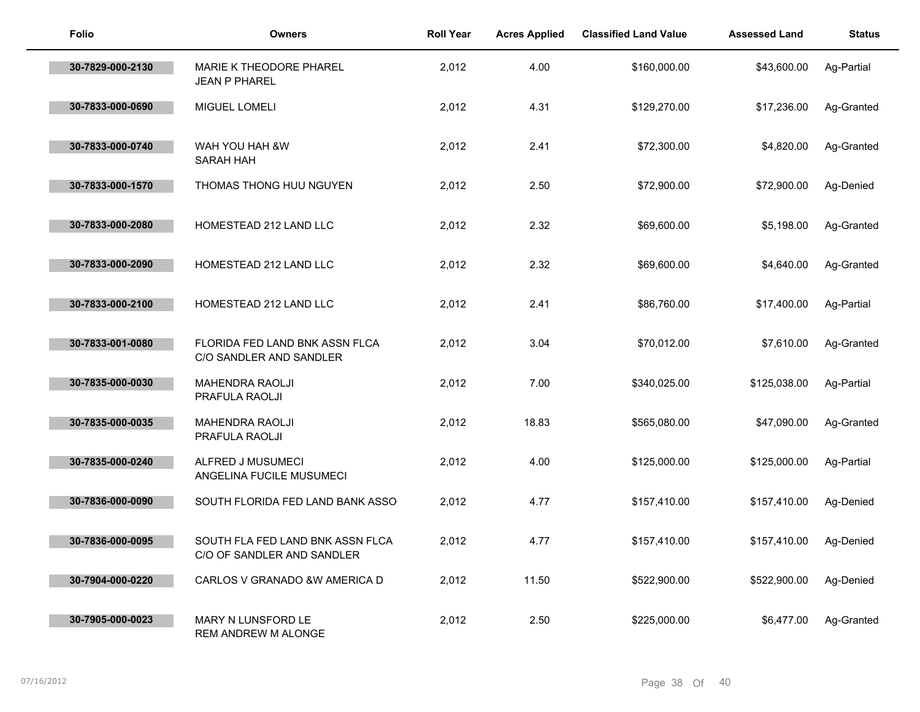| <b>Folio</b>     | <b>Owners</b>                                                  | <b>Roll Year</b> | <b>Acres Applied</b> | <b>Classified Land Value</b> | <b>Assessed Land</b> | <b>Status</b> |
|------------------|----------------------------------------------------------------|------------------|----------------------|------------------------------|----------------------|---------------|
| 30-7829-000-2130 | MARIE K THEODORE PHAREL<br><b>JEAN P PHAREL</b>                | 2,012            | 4.00                 | \$160,000.00                 | \$43,600.00          | Ag-Partial    |
| 30-7833-000-0690 | MIGUEL LOMELI                                                  | 2,012            | 4.31                 | \$129,270.00                 | \$17,236.00          | Ag-Granted    |
| 30-7833-000-0740 | WAH YOU HAH &W<br>SARAH HAH                                    | 2,012            | 2.41                 | \$72,300.00                  | \$4,820.00           | Ag-Granted    |
| 30-7833-000-1570 | THOMAS THONG HUU NGUYEN                                        | 2,012            | 2.50                 | \$72,900.00                  | \$72,900.00          | Ag-Denied     |
| 30-7833-000-2080 | HOMESTEAD 212 LAND LLC                                         | 2,012            | 2.32                 | \$69,600.00                  | \$5,198.00           | Ag-Granted    |
| 30-7833-000-2090 | HOMESTEAD 212 LAND LLC                                         | 2,012            | 2.32                 | \$69,600.00                  | \$4,640.00           | Ag-Granted    |
| 30-7833-000-2100 | HOMESTEAD 212 LAND LLC                                         | 2,012            | 2.41                 | \$86,760.00                  | \$17,400.00          | Ag-Partial    |
| 30-7833-001-0080 | FLORIDA FED LAND BNK ASSN FLCA<br>C/O SANDLER AND SANDLER      | 2,012            | 3.04                 | \$70,012.00                  | \$7,610.00           | Ag-Granted    |
| 30-7835-000-0030 | MAHENDRA RAOLJI<br>PRAFULA RAOLJI                              | 2,012            | 7.00                 | \$340,025.00                 | \$125,038.00         | Ag-Partial    |
| 30-7835-000-0035 | <b>MAHENDRA RAOLJI</b><br>PRAFULA RAOLJI                       | 2,012            | 18.83                | \$565,080.00                 | \$47,090.00          | Ag-Granted    |
| 30-7835-000-0240 | ALFRED J MUSUMECI<br>ANGELINA FUCILE MUSUMECI                  | 2,012            | 4.00                 | \$125,000.00                 | \$125,000.00         | Ag-Partial    |
| 30-7836-000-0090 | SOUTH FLORIDA FED LAND BANK ASSO                               | 2,012            | 4.77                 | \$157,410.00                 | \$157,410.00         | Ag-Denied     |
| 30-7836-000-0095 | SOUTH FLA FED LAND BNK ASSN FLCA<br>C/O OF SANDLER AND SANDLER | 2,012            | 4.77                 | \$157,410.00                 | \$157,410.00         | Ag-Denied     |
| 30-7904-000-0220 | CARLOS V GRANADO & W AMERICA D                                 | 2,012            | 11.50                | \$522,900.00                 | \$522,900.00         | Ag-Denied     |
| 30-7905-000-0023 | MARY N LUNSFORD LE<br>REM ANDREW M ALONGE                      | 2,012            | 2.50                 | \$225,000.00                 | \$6,477.00           | Ag-Granted    |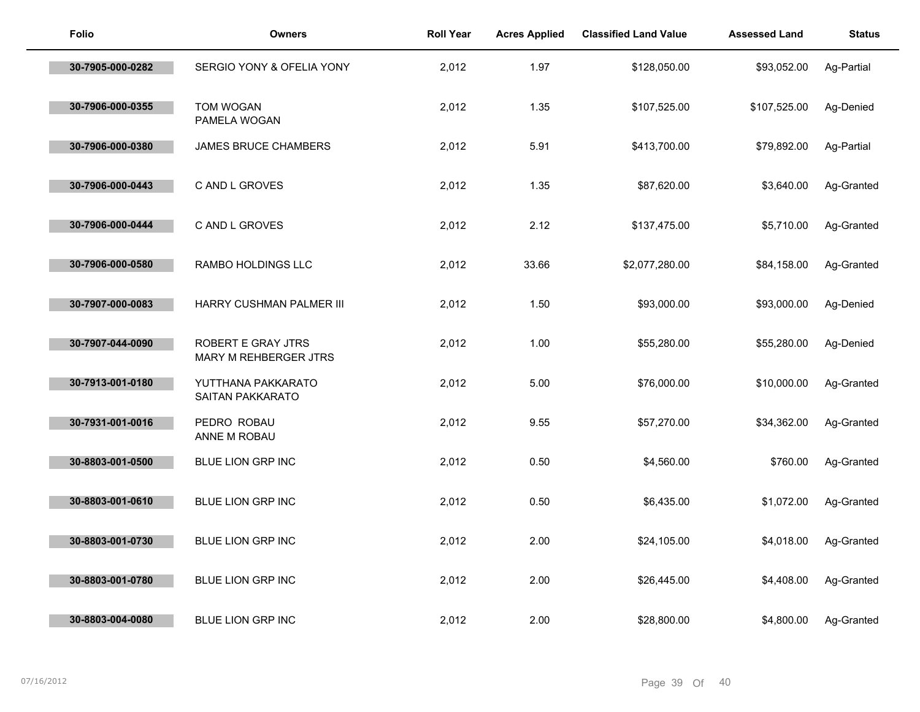| Folio            | <b>Owners</b>                                      | <b>Roll Year</b> | <b>Acres Applied</b> | <b>Classified Land Value</b> | <b>Assessed Land</b> | <b>Status</b> |
|------------------|----------------------------------------------------|------------------|----------------------|------------------------------|----------------------|---------------|
| 30-7905-000-0282 | SERGIO YONY & OFELIA YONY                          | 2,012            | 1.97                 | \$128,050.00                 | \$93,052.00          | Ag-Partial    |
| 30-7906-000-0355 | <b>TOM WOGAN</b><br>PAMELA WOGAN                   | 2,012            | 1.35                 | \$107,525.00                 | \$107,525.00         | Ag-Denied     |
| 30-7906-000-0380 | <b>JAMES BRUCE CHAMBERS</b>                        | 2,012            | 5.91                 | \$413,700.00                 | \$79,892.00          | Ag-Partial    |
| 30-7906-000-0443 | C AND L GROVES                                     | 2,012            | 1.35                 | \$87,620.00                  | \$3,640.00           | Ag-Granted    |
| 30-7906-000-0444 | C AND L GROVES                                     | 2,012            | 2.12                 | \$137,475.00                 | \$5,710.00           | Ag-Granted    |
| 30-7906-000-0580 | RAMBO HOLDINGS LLC                                 | 2,012            | 33.66                | \$2,077,280.00               | \$84,158.00          | Ag-Granted    |
| 30-7907-000-0083 | HARRY CUSHMAN PALMER III                           | 2,012            | 1.50                 | \$93,000.00                  | \$93,000.00          | Ag-Denied     |
| 30-7907-044-0090 | <b>ROBERT E GRAY JTRS</b><br>MARY M REHBERGER JTRS | 2,012            | 1.00                 | \$55,280.00                  | \$55,280.00          | Ag-Denied     |
| 30-7913-001-0180 | YUTTHANA PAKKARATO<br>SAITAN PAKKARATO             | 2,012            | 5.00                 | \$76,000.00                  | \$10,000.00          | Ag-Granted    |
| 30-7931-001-0016 | PEDRO ROBAU<br>ANNE M ROBAU                        | 2,012            | 9.55                 | \$57,270.00                  | \$34,362.00          | Ag-Granted    |
| 30-8803-001-0500 | BLUE LION GRP INC                                  | 2,012            | 0.50                 | \$4,560.00                   | \$760.00             | Ag-Granted    |
| 30-8803-001-0610 | BLUE LION GRP INC                                  | 2,012            | 0.50                 | \$6,435.00                   | \$1,072.00           | Ag-Granted    |
| 30-8803-001-0730 | BLUE LION GRP INC                                  | 2,012            | 2.00                 | \$24,105.00                  | \$4,018.00           | Ag-Granted    |
| 30-8803-001-0780 | BLUE LION GRP INC                                  | 2,012            | 2.00                 | \$26,445.00                  | \$4,408.00           | Ag-Granted    |
| 30-8803-004-0080 | <b>BLUE LION GRP INC</b>                           | 2,012            | 2.00                 | \$28,800.00                  | \$4,800.00           | Ag-Granted    |